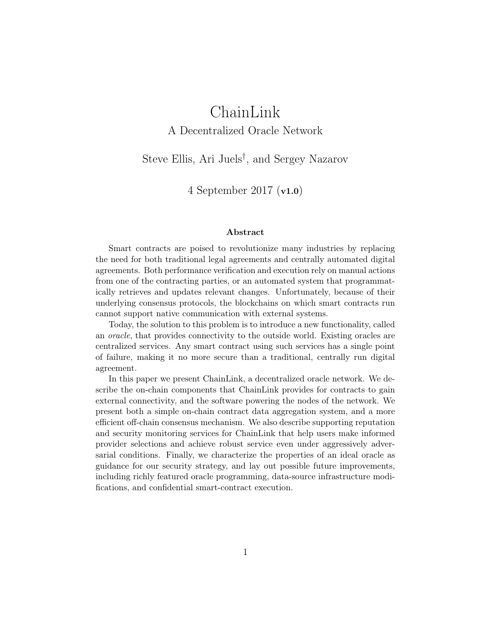# ChainLink A Decentralized Oracle Network

Steve Ellis, Ari Juels† , and Sergey Nazarov

4 September 2017 (v1.0)

#### Abstract

Smart contracts are poised to revolutionize many industries by replacing the need for both traditional legal agreements and centrally automated digital agreements. Both performance verification and execution rely on manual actions from one of the contracting parties, or an automated system that programmatically retrieves and updates relevant changes. Unfortunately, because of their underlying consensus protocols, the blockchains on which smart contracts run cannot support native communication with external systems.

Today, the solution to this problem is to introduce a new functionality, called an oracle, that provides connectivity to the outside world. Existing oracles are centralized services. Any smart contract using such services has a single point of failure, making it no more secure than a traditional, centrally run digital agreement.

In this paper we present ChainLink, a decentralized oracle network. We describe the on-chain components that ChainLink provides for contracts to gain external connectivity, and the software powering the nodes of the network. We present both a simple on-chain contract data aggregation system, and a more efficient off-chain consensus mechanism. We also describe supporting reputation and security monitoring services for ChainLink that help users make informed provider selections and achieve robust service even under aggressively adversarial conditions. Finally, we characterize the properties of an ideal oracle as guidance for our security strategy, and lay out possible future improvements, including richly featured oracle programming, data-source infrastructure modifications, and confidential smart-contract execution.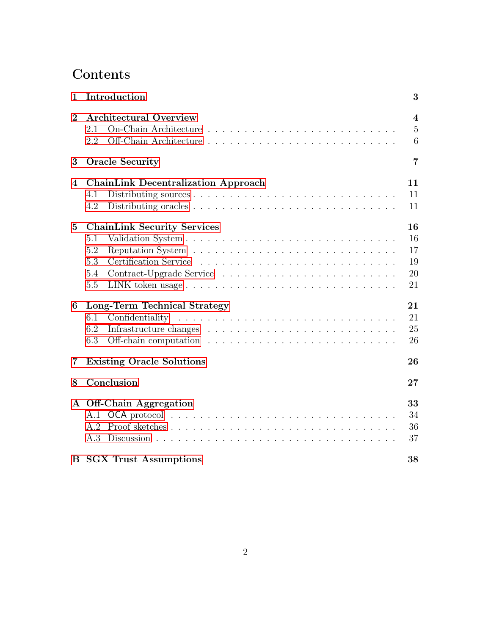# Contents

| $\mathbf{1}$   | Introduction                                                          |                                       |  |  |  |  |  |  |  |
|----------------|-----------------------------------------------------------------------|---------------------------------------|--|--|--|--|--|--|--|
| $\overline{2}$ | <b>Architectural Overview</b><br>2.1<br>2.2                           | $\overline{4}$<br>$\overline{5}$<br>6 |  |  |  |  |  |  |  |
| 3              | <b>Oracle Security</b>                                                |                                       |  |  |  |  |  |  |  |
| $\bf{4}$       | <b>ChainLink Decentralization Approach</b><br>4.1<br>4.2              | 11<br>11<br>11                        |  |  |  |  |  |  |  |
| $\overline{5}$ | <b>ChainLink Security Services</b><br>5.1<br>5.2<br>5.3<br>5.4<br>5.5 | 16<br>16<br>17<br>19<br>20<br>21      |  |  |  |  |  |  |  |
| 6              | Long-Term Technical Strategy<br>6.1<br>6.2<br>6.3                     | 21<br>21<br>25<br>26                  |  |  |  |  |  |  |  |
| 7              | <b>Existing Oracle Solutions</b>                                      |                                       |  |  |  |  |  |  |  |
| 8              | Conclusion                                                            | 27                                    |  |  |  |  |  |  |  |
|                | A Off-Chain Aggregation<br>A.3                                        | 33<br>34<br>36<br>37                  |  |  |  |  |  |  |  |
|                | <b>B</b> SGX Trust Assumptions                                        | 38                                    |  |  |  |  |  |  |  |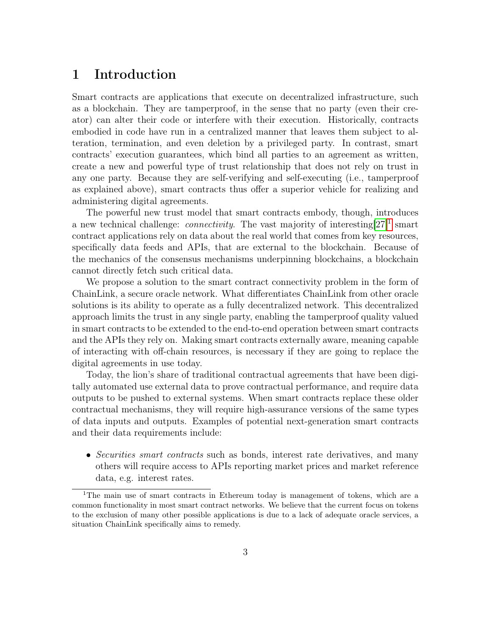### <span id="page-2-0"></span>1 Introduction

Smart contracts are applications that execute on decentralized infrastructure, such as a blockchain. They are tamperproof, in the sense that no party (even their creator) can alter their code or interfere with their execution. Historically, contracts embodied in code have run in a centralized manner that leaves them subject to alteration, termination, and even deletion by a privileged party. In contrast, smart contracts' execution guarantees, which bind all parties to an agreement as written, create a new and powerful type of trust relationship that does not rely on trust in any one party. Because they are self-verifying and self-executing (i.e., tamperproof as explained above), smart contracts thus offer a superior vehicle for realizing and administering digital agreements.

The powerful new trust model that smart contracts embody, though, introduces a new technical challenge: *connectivity*. The vast majority of interesting  $[27]^1$  $[27]^1$  $[27]^1$  smart contract applications rely on data about the real world that comes from key resources, specifically data feeds and APIs, that are external to the blockchain. Because of the mechanics of the consensus mechanisms underpinning blockchains, a blockchain cannot directly fetch such critical data.

We propose a solution to the smart contract connectivity problem in the form of ChainLink, a secure oracle network. What differentiates ChainLink from other oracle solutions is its ability to operate as a fully decentralized network. This decentralized approach limits the trust in any single party, enabling the tamperproof quality valued in smart contracts to be extended to the end-to-end operation between smart contracts and the APIs they rely on. Making smart contracts externally aware, meaning capable of interacting with off-chain resources, is necessary if they are going to replace the digital agreements in use today.

Today, the lion's share of traditional contractual agreements that have been digitally automated use external data to prove contractual performance, and require data outputs to be pushed to external systems. When smart contracts replace these older contractual mechanisms, they will require high-assurance versions of the same types of data inputs and outputs. Examples of potential next-generation smart contracts and their data requirements include:

• Securities smart contracts such as bonds, interest rate derivatives, and many others will require access to APIs reporting market prices and market reference data, e.g. interest rates.

<span id="page-2-1"></span><sup>&</sup>lt;sup>1</sup>The main use of smart contracts in Ethereum today is management of tokens, which are a common functionality in most smart contract networks. We believe that the current focus on tokens to the exclusion of many other possible applications is due to a lack of adequate oracle services, a situation ChainLink specifically aims to remedy.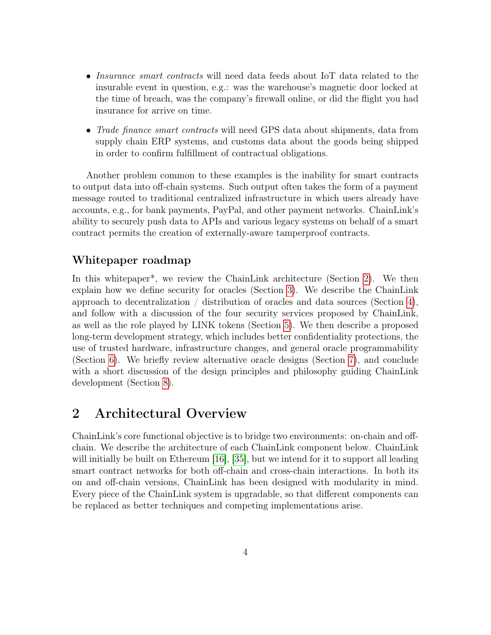- Insurance smart contracts will need data feeds about IoT data related to the insurable event in question, e.g.: was the warehouse's magnetic door locked at the time of breach, was the company's firewall online, or did the flight you had insurance for arrive on time.
- Trade finance smart contracts will need GPS data about shipments, data from supply chain ERP systems, and customs data about the goods being shipped in order to confirm fulfillment of contractual obligations.

Another problem common to these examples is the inability for smart contracts to output data into off-chain systems. Such output often takes the form of a payment message routed to traditional centralized infrastructure in which users already have accounts, e.g., for bank payments, PayPal, and other payment networks. ChainLink's ability to securely push data to APIs and various legacy systems on behalf of a smart contract permits the creation of externally-aware tamperproof contracts.

### Whitepaper roadmap

In this whitepaper\*, we review the ChainLink architecture (Section [2\)](#page-3-0). We then explain how we define security for oracles (Section [3\)](#page-6-0). We describe the ChainLink approach to decentralization  $\ell$  distribution of oracles and data sources (Section [4\)](#page-10-0), and follow with a discussion of the four security services proposed by ChainLink, as well as the role played by LINK tokens (Section [5\)](#page-15-0). We then describe a proposed long-term development strategy, which includes better confidentiality protections, the use of trusted hardware, infrastructure changes, and general oracle programmability (Section [6\)](#page-20-1). We briefly review alternative oracle designs (Section [7\)](#page-25-1), and conclude with a short discussion of the design principles and philosophy guiding ChainLink development (Section [8\)](#page-26-0).

## <span id="page-3-0"></span>2 Architectural Overview

ChainLink's core functional objective is to bridge two environments: on-chain and offchain. We describe the architecture of each ChainLink component below. ChainLink will initially be built on Ethereum [\[16\]](#page-28-0), [\[35\]](#page-30-0), but we intend for it to support all leading smart contract networks for both off-chain and cross-chain interactions. In both its on and off-chain versions, ChainLink has been designed with modularity in mind. Every piece of the ChainLink system is upgradable, so that different components can be replaced as better techniques and competing implementations arise.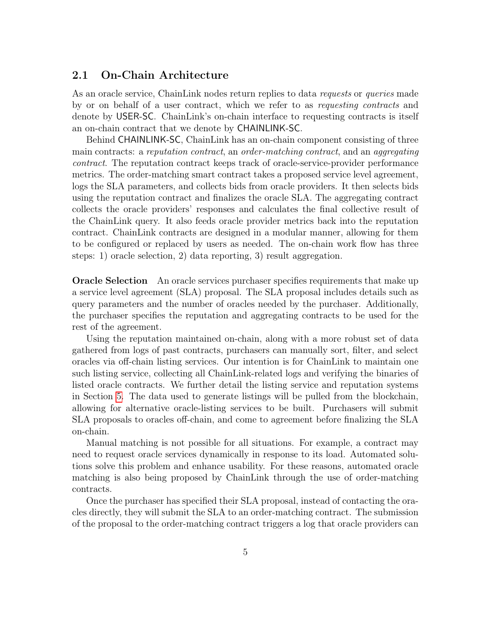#### <span id="page-4-0"></span>2.1 On-Chain Architecture

As an oracle service, ChainLink nodes return replies to data *requests* or *queries* made by or on behalf of a user contract, which we refer to as requesting contracts and denote by USER-SC. ChainLink's on-chain interface to requesting contracts is itself an on-chain contract that we denote by CHAINLINK-SC.

Behind CHAINLINK-SC, ChainLink has an on-chain component consisting of three main contracts: a reputation contract, an order-matching contract, and an aggregating contract. The reputation contract keeps track of oracle-service-provider performance metrics. The order-matching smart contract takes a proposed service level agreement, logs the SLA parameters, and collects bids from oracle providers. It then selects bids using the reputation contract and finalizes the oracle SLA. The aggregating contract collects the oracle providers' responses and calculates the final collective result of the ChainLink query. It also feeds oracle provider metrics back into the reputation contract. ChainLink contracts are designed in a modular manner, allowing for them to be configured or replaced by users as needed. The on-chain work flow has three steps: 1) oracle selection, 2) data reporting, 3) result aggregation.

Oracle Selection An oracle services purchaser specifies requirements that make up a service level agreement (SLA) proposal. The SLA proposal includes details such as query parameters and the number of oracles needed by the purchaser. Additionally, the purchaser specifies the reputation and aggregating contracts to be used for the rest of the agreement.

Using the reputation maintained on-chain, along with a more robust set of data gathered from logs of past contracts, purchasers can manually sort, filter, and select oracles via off-chain listing services. Our intention is for ChainLink to maintain one such listing service, collecting all ChainLink-related logs and verifying the binaries of listed oracle contracts. We further detail the listing service and reputation systems in Section [5.](#page-15-0) The data used to generate listings will be pulled from the blockchain, allowing for alternative oracle-listing services to be built. Purchasers will submit SLA proposals to oracles off-chain, and come to agreement before finalizing the SLA on-chain.

Manual matching is not possible for all situations. For example, a contract may need to request oracle services dynamically in response to its load. Automated solutions solve this problem and enhance usability. For these reasons, automated oracle matching is also being proposed by ChainLink through the use of order-matching contracts.

Once the purchaser has specified their SLA proposal, instead of contacting the oracles directly, they will submit the SLA to an order-matching contract. The submission of the proposal to the order-matching contract triggers a log that oracle providers can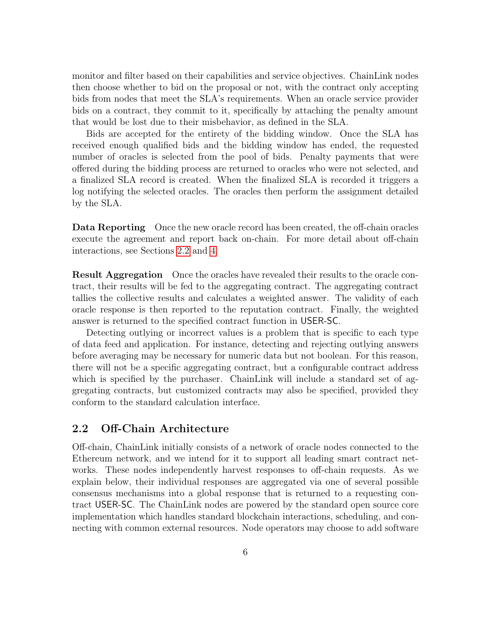monitor and filter based on their capabilities and service objectives. ChainLink nodes then choose whether to bid on the proposal or not, with the contract only accepting bids from nodes that meet the SLA's requirements. When an oracle service provider bids on a contract, they commit to it, specifically by attaching the penalty amount that would be lost due to their misbehavior, as defined in the SLA.

Bids are accepted for the entirety of the bidding window. Once the SLA has received enough qualified bids and the bidding window has ended, the requested number of oracles is selected from the pool of bids. Penalty payments that were offered during the bidding process are returned to oracles who were not selected, and a finalized SLA record is created. When the finalized SLA is recorded it triggers a log notifying the selected oracles. The oracles then perform the assignment detailed by the SLA.

Data Reporting Once the new oracle record has been created, the off-chain oracles execute the agreement and report back on-chain. For more detail about off-chain interactions, see Sections [2.2](#page-5-0) and [4.](#page-10-0)

Result Aggregation Once the oracles have revealed their results to the oracle contract, their results will be fed to the aggregating contract. The aggregating contract tallies the collective results and calculates a weighted answer. The validity of each oracle response is then reported to the reputation contract. Finally, the weighted answer is returned to the specified contract function in USER-SC.

Detecting outlying or incorrect values is a problem that is specific to each type of data feed and application. For instance, detecting and rejecting outlying answers before averaging may be necessary for numeric data but not boolean. For this reason, there will not be a specific aggregating contract, but a configurable contract address which is specified by the purchaser. ChainLink will include a standard set of aggregating contracts, but customized contracts may also be specified, provided they conform to the standard calculation interface.

### <span id="page-5-0"></span>2.2 Off-Chain Architecture

Off-chain, ChainLink initially consists of a network of oracle nodes connected to the Ethereum network, and we intend for it to support all leading smart contract networks. These nodes independently harvest responses to off-chain requests. As we explain below, their individual responses are aggregated via one of several possible consensus mechanisms into a global response that is returned to a requesting contract USER-SC. The ChainLink nodes are powered by the standard open source core implementation which handles standard blockchain interactions, scheduling, and connecting with common external resources. Node operators may choose to add software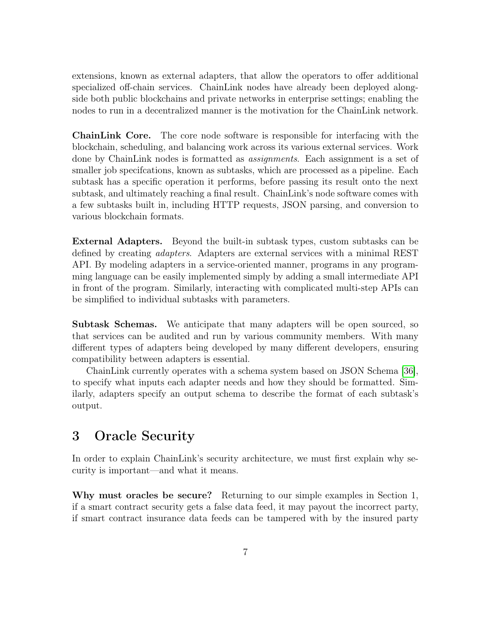extensions, known as external adapters, that allow the operators to offer additional specialized off-chain services. ChainLink nodes have already been deployed alongside both public blockchains and private networks in enterprise settings; enabling the nodes to run in a decentralized manner is the motivation for the ChainLink network.

ChainLink Core. The core node software is responsible for interfacing with the blockchain, scheduling, and balancing work across its various external services. Work done by ChainLink nodes is formatted as *assignments*. Each assignment is a set of smaller job specifcations, known as subtasks, which are processed as a pipeline. Each subtask has a specific operation it performs, before passing its result onto the next subtask, and ultimately reaching a final result. ChainLink's node software comes with a few subtasks built in, including HTTP requests, JSON parsing, and conversion to various blockchain formats.

External Adapters. Beyond the built-in subtask types, custom subtasks can be defined by creating adapters. Adapters are external services with a minimal REST API. By modeling adapters in a service-oriented manner, programs in any programming language can be easily implemented simply by adding a small intermediate API in front of the program. Similarly, interacting with complicated multi-step APIs can be simplified to individual subtasks with parameters.

Subtask Schemas. We anticipate that many adapters will be open sourced, so that services can be audited and run by various community members. With many different types of adapters being developed by many different developers, ensuring compatibility between adapters is essential.

ChainLink currently operates with a schema system based on JSON Schema [\[36\]](#page-30-1), to specify what inputs each adapter needs and how they should be formatted. Similarly, adapters specify an output schema to describe the format of each subtask's output.

### <span id="page-6-0"></span>3 Oracle Security

In order to explain ChainLink's security architecture, we must first explain why security is important—and what it means.

Why must oracles be secure? Returning to our simple examples in Section 1, if a smart contract security gets a false data feed, it may payout the incorrect party, if smart contract insurance data feeds can be tampered with by the insured party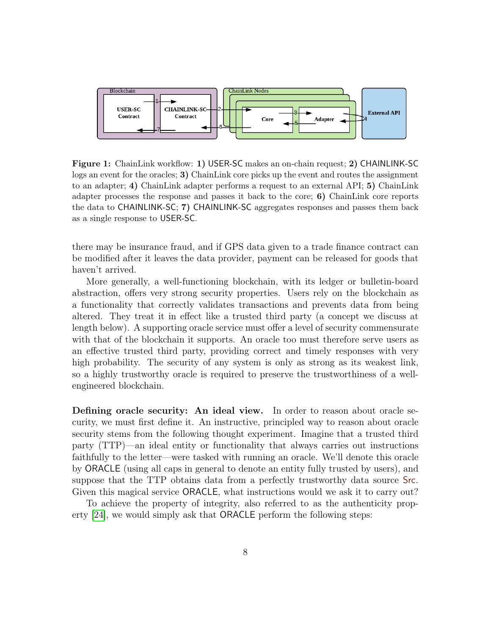

Figure 1: ChainLink workflow: 1) USER-SC makes an on-chain request; 2) CHAINLINK-SC logs an event for the oracles; 3) ChainLink core picks up the event and routes the assignment to an adapter; 4) ChainLink adapter performs a request to an external API; 5) ChainLink adapter processes the response and passes it back to the core; 6) ChainLink core reports the data to CHAINLINK-SC; 7) CHAINLINK-SC aggregates responses and passes them back as a single response to USER-SC.

there may be insurance fraud, and if GPS data given to a trade finance contract can be modified after it leaves the data provider, payment can be released for goods that haven't arrived.

More generally, a well-functioning blockchain, with its ledger or bulletin-board abstraction, offers very strong security properties. Users rely on the blockchain as a functionality that correctly validates transactions and prevents data from being altered. They treat it in effect like a trusted third party (a concept we discuss at length below). A supporting oracle service must offer a level of security commensurate with that of the blockchain it supports. An oracle too must therefore serve users as an effective trusted third party, providing correct and timely responses with very high probability. The security of any system is only as strong as its weakest link, so a highly trustworthy oracle is required to preserve the trustworthiness of a wellengineered blockchain.

Defining oracle security: An ideal view. In order to reason about oracle security, we must first define it. An instructive, principled way to reason about oracle security stems from the following thought experiment. Imagine that a trusted third party (TTP)—an ideal entity or functionality that always carries out instructions faithfully to the letter—were tasked with running an oracle. We'll denote this oracle by ORACLE (using all caps in general to denote an entity fully trusted by users), and suppose that the TTP obtains data from a perfectly trustworthy data source Src. Given this magical service ORACLE, what instructions would we ask it to carry out?

To achieve the property of integrity, also referred to as the authenticity property [\[24\]](#page-29-1), we would simply ask that ORACLE perform the following steps: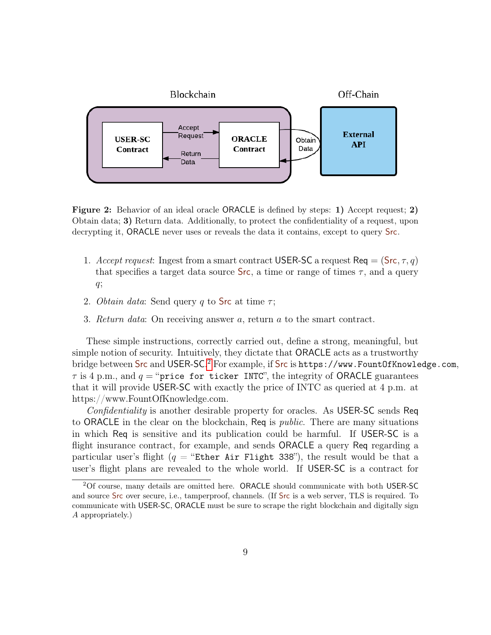

Figure 2: Behavior of an ideal oracle ORACLE is defined by steps: 1) Accept request; 2) Obtain data; 3) Return data. Additionally, to protect the confidentiality of a request, upon decrypting it, ORACLE never uses or reveals the data it contains, except to query Src.

- 1. Accept request: Ingest from a smart contract USER-SC a request Req  $= (\text{Src}, \tau, q)$ that specifies a target data source  $\textsf{Src}$ , a time or range of times  $\tau$ , and a query  $q$ ;
- 2. *Obtain data*: Send query q to Src at time  $\tau$ ;
- 3. Return data: On receiving answer a, return a to the smart contract.

These simple instructions, correctly carried out, define a strong, meaningful, but simple notion of security. Intuitively, they dictate that ORACLE acts as a trustworthy bridge between Src and USER-SC.<sup>[2](#page-8-0)</sup> For example, if Src is <code>https://www.FountOfKnowledge.com,</code>  $\tau$  is 4 p.m., and  $q =$  "price for ticker INTC", the integrity of ORACLE guarantees that it will provide USER-SC with exactly the price of INTC as queried at 4 p.m. at https://www.FountOfKnowledge.com.

Confidentiality is another desirable property for oracles. As USER-SC sends Req to ORACLE in the clear on the blockchain, Req is *public*. There are many situations in which Req is sensitive and its publication could be harmful. If USER-SC is a flight insurance contract, for example, and sends **ORACLE** a query Req regarding a particular user's flight  $(q =$  "Ether Air Flight 338"), the result would be that a user's flight plans are revealed to the whole world. If USER-SC is a contract for

<span id="page-8-0"></span><sup>2</sup>Of course, many details are omitted here. ORACLE should communicate with both USER-SC and source Src over secure, i.e., tamperproof, channels. (If Src is a web server, TLS is required. To communicate with USER-SC, ORACLE must be sure to scrape the right blockchain and digitally sign A appropriately.)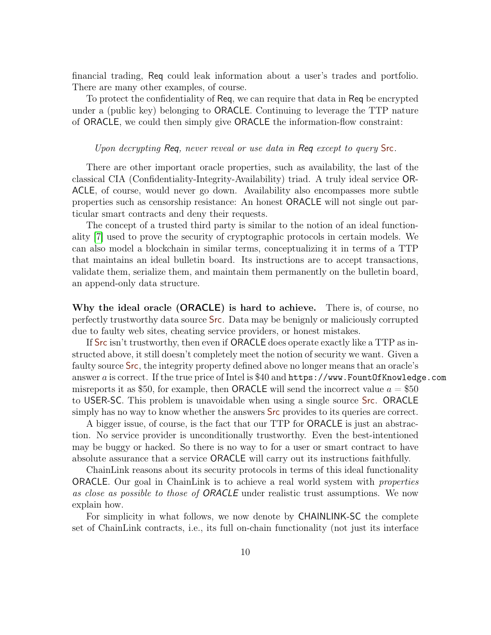financial trading, Req could leak information about a user's trades and portfolio. There are many other examples, of course.

To protect the confidentiality of Req, we can require that data in Req be encrypted under a (public key) belonging to ORACLE. Continuing to leverage the TTP nature of ORACLE, we could then simply give ORACLE the information-flow constraint:

#### Upon decrypting Req, never reveal or use data in Req except to query Src.

There are other important oracle properties, such as availability, the last of the classical CIA (Confidentiality-Integrity-Availability) triad. A truly ideal service OR-ACLE, of course, would never go down. Availability also encompasses more subtle properties such as censorship resistance: An honest ORACLE will not single out particular smart contracts and deny their requests.

The concept of a trusted third party is similar to the notion of an ideal functionality [\[7\]](#page-27-0) used to prove the security of cryptographic protocols in certain models. We can also model a blockchain in similar terms, conceptualizing it in terms of a TTP that maintains an ideal bulletin board. Its instructions are to accept transactions, validate them, serialize them, and maintain them permanently on the bulletin board, an append-only data structure.

Why the ideal oracle (ORACLE) is hard to achieve. There is, of course, no perfectly trustworthy data source Src. Data may be benignly or maliciously corrupted due to faulty web sites, cheating service providers, or honest mistakes.

If Src isn't trustworthy, then even if ORACLE does operate exactly like a TTP as instructed above, it still doesn't completely meet the notion of security we want. Given a faulty source **Src**, the integrity property defined above no longer means that an oracle's answer a is correct. If the true price of Intel is \$40 and https://www.FountOfKnowledge.com misreports it as \$50, for example, then ORACLE will send the incorrect value  $a = $50$ to USER-SC. This problem is unavoidable when using a single source Src. ORACLE simply has no way to know whether the answers **Src** provides to its queries are correct.

A bigger issue, of course, is the fact that our TTP for ORACLE is just an abstraction. No service provider is unconditionally trustworthy. Even the best-intentioned may be buggy or hacked. So there is no way to for a user or smart contract to have absolute assurance that a service ORACLE will carry out its instructions faithfully.

ChainLink reasons about its security protocols in terms of this ideal functionality ORACLE. Our goal in ChainLink is to achieve a real world system with properties as close as possible to those of ORACLE under realistic trust assumptions. We now explain how.

For simplicity in what follows, we now denote by CHAINLINK-SC the complete set of ChainLink contracts, i.e., its full on-chain functionality (not just its interface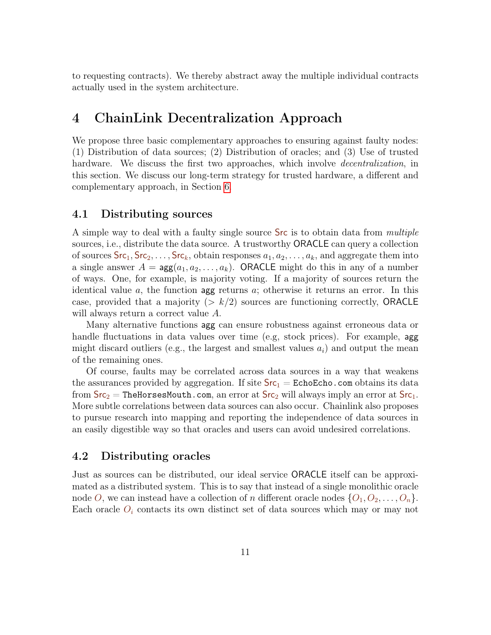to requesting contracts). We thereby abstract away the multiple individual contracts actually used in the system architecture.

### <span id="page-10-0"></span>4 ChainLink Decentralization Approach

We propose three basic complementary approaches to ensuring against faulty nodes: (1) Distribution of data sources; (2) Distribution of oracles; and (3) Use of trusted hardware. We discuss the first two approaches, which involve *decentralization*, in this section. We discuss our long-term strategy for trusted hardware, a different and complementary approach, in Section [6.](#page-20-1)

#### <span id="page-10-1"></span>4.1 Distributing sources

A simple way to deal with a faulty single source Src is to obtain data from *multiple* sources, i.e., distribute the data source. A trustworthy ORACLE can query a collection of sources  $\textsf{Src}_1, \textsf{Src}_2, \ldots, \textsf{Src}_k$ , obtain responses  $a_1, a_2, \ldots, a_k$ , and aggregate them into a single answer  $A = \arg(a_1, a_2, \dots, a_k)$ . ORACLE might do this in any of a number of ways. One, for example, is majority voting. If a majority of sources return the identical value a, the function agg returns a; otherwise it returns an error. In this case, provided that a majority  $(> k/2)$  sources are functioning correctly, ORACLE will always return a correct value A.

Many alternative functions agg can ensure robustness against erroneous data or handle fluctuations in data values over time (e.g, stock prices). For example, agg might discard outliers (e.g., the largest and smallest values  $a_i$ ) and output the mean of the remaining ones.

Of course, faults may be correlated across data sources in a way that weakens the assurances provided by aggregation. If site  $Src_1 = EchoEcho$ .com obtains its data from  $SrC_2$  = TheHorsesMouth.com, an error at  $SrC_2$  will always imply an error at  $SrC_1$ . More subtle correlations between data sources can also occur. Chainlink also proposes to pursue research into mapping and reporting the independence of data sources in an easily digestible way so that oracles and users can avoid undesired correlations.

#### <span id="page-10-2"></span>4.2 Distributing oracles

Just as sources can be distributed, our ideal service ORACLE itself can be approximated as a distributed system. This is to say that instead of a single monolithic oracle node O, we can instead have a collection of n different oracle nodes  $\{O_1, O_2, \ldots, O_n\}$ . Each oracle  $O_i$  contacts its own distinct set of data sources which may or may not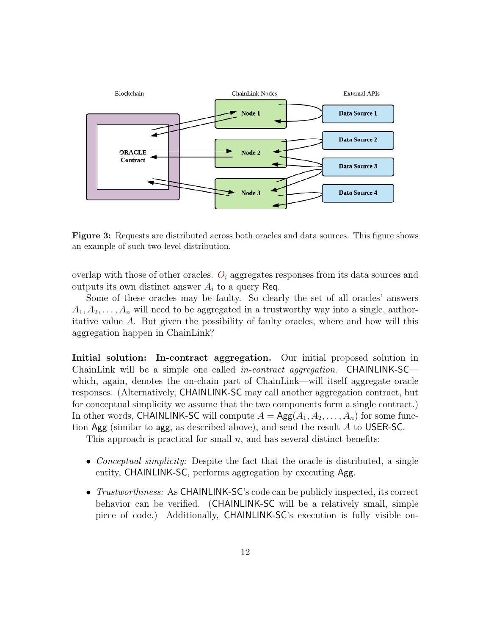

Figure 3: Requests are distributed across both oracles and data sources. This figure shows an example of such two-level distribution.

overlap with those of other oracles.  $O_i$  aggregates responses from its data sources and outputs its own distinct answer  $A_i$  to a query Req.

Some of these oracles may be faulty. So clearly the set of all oracles' answers  $A_1, A_2, \ldots, A_n$  will need to be aggregated in a trustworthy way into a single, authoritative value A. But given the possibility of faulty oracles, where and how will this aggregation happen in ChainLink?

Initial solution: In-contract aggregation. Our initial proposed solution in ChainLink will be a simple one called *in-contract aggregation*. CHAINLINK-SC which, again, denotes the on-chain part of ChainLink—will itself aggregate oracle responses. (Alternatively, CHAINLINK-SC may call another aggregation contract, but for conceptual simplicity we assume that the two components form a single contract.) In other words, CHAINLINK-SC will compute  $A = \text{Agg}(A_1, A_2, \ldots, A_n)$  for some function Agg (similar to agg, as described above), and send the result A to USER-SC.

This approach is practical for small  $n$ , and has several distinct benefits:

- Conceptual simplicity: Despite the fact that the oracle is distributed, a single entity, CHAINLINK-SC, performs aggregation by executing Agg.
- Trustworthiness: As CHAINLINK-SC's code can be publicly inspected, its correct behavior can be verified. (CHAINLINK-SC will be a relatively small, simple piece of code.) Additionally, CHAINLINK-SC's execution is fully visible on-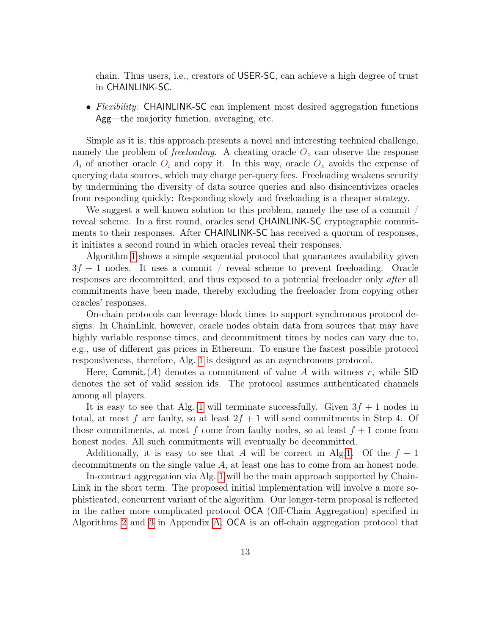chain. Thus users, i.e., creators of USER-SC, can achieve a high degree of trust in CHAINLINK-SC.

• Flexibility: CHAINLINK-SC can implement most desired aggregation functions Agg—the majority function, averaging, etc.

Simple as it is, this approach presents a novel and interesting technical challenge, namely the problem of *freeloading*. A cheating oracle  $O_z$  can observe the response  $A_i$  of another oracle  $O_i$  and copy it. In this way, oracle  $O_z$  avoids the expense of querying data sources, which may charge per-query fees. Freeloading weakens security by undermining the diversity of data source queries and also disincentivizes oracles from responding quickly: Responding slowly and freeloading is a cheaper strategy.

We suggest a well known solution to this problem, namely the use of a commit / reveal scheme. In a first round, oracles send CHAINLINK-SC cryptographic commitments to their responses. After CHAINLINK-SC has received a quorum of responses, it initiates a second round in which oracles reveal their responses.

Algorithm [1](#page-13-0) shows a simple sequential protocol that guarantees availability given  $3f + 1$  nodes. It uses a commit / reveal scheme to prevent freeloading. Oracle responses are decommitted, and thus exposed to a potential freeloader only after all commitments have been made, thereby excluding the freeloader from copying other oracles' responses.

On-chain protocols can leverage block times to support synchronous protocol designs. In ChainLink, however, oracle nodes obtain data from sources that may have highly variable response times, and decommitment times by nodes can vary due to, e.g., use of different gas prices in Ethereum. To ensure the fastest possible protocol responsiveness, therefore, Alg. [1](#page-13-0) is designed as an asynchronous protocol.

Here, Commit<sub>r</sub>(A) denotes a commitment of value A with witness r, while SID denotes the set of valid session ids. The protocol assumes authenticated channels among all players.

It is easy to see that Alg. [1](#page-13-0) will terminate successfully. Given  $3f + 1$  nodes in total, at most f are faulty, so at least  $2f + 1$  will send commitments in Step 4. Of those commitments, at most f come from faulty nodes, so at least  $f + 1$  come from honest nodes. All such commitments will eventually be decommitted.

Additionally, it is easy to see that A will be correct in Alg[.1.](#page-13-0) Of the  $f + 1$ decommitments on the single value A, at least one has to come from an honest node.

In-contract aggregation via Alg. [1](#page-13-0) will be the main approach supported by Chain-Link in the short term. The proposed initial implementation will involve a more sophisticated, concurrent variant of the algorithm. Our longer-term proposal is reflected in the rather more complicated protocol OCA (Off-Chain Aggregation) specified in Algorithms [2](#page-34-0) and [3](#page-35-1) in Appendix [A.](#page-32-0) OCA is an off-chain aggregation protocol that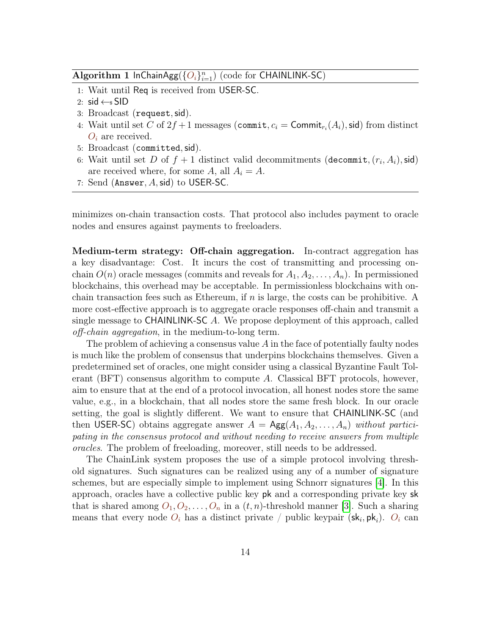### <span id="page-13-0"></span>Algorithm 1 InChainAgg $(\{O_i\}_{i=1}^n)$  (code for CHAINLINK-SC)

- 1: Wait until Req is received from USER-SC.
- 2: sid  $\leftarrow$ s SID
- 3: Broadcast (request,sid).
- 4: Wait until set C of  $2f+1$  messages (commit,  $c_i =$  Commit<sub>ri</sub> $(A_i)$ , sid) from distinct  $O_i$  are received.
- 5: Broadcast (committed,sid).
- 6: Wait until set D of  $f + 1$  distinct valid decommitments (decommit,  $(r_i, A_i)$ , sid) are received where, for some A, all  $A_i = A$ .
- 7: Send (Answer,  $A$ , sid) to USER-SC.

minimizes on-chain transaction costs. That protocol also includes payment to oracle nodes and ensures against payments to freeloaders.

<span id="page-13-1"></span>Medium-term strategy: Off-chain aggregation. In-contract aggregation has a key disadvantage: Cost. It incurs the cost of transmitting and processing onchain  $O(n)$  oracle messages (commits and reveals for  $A_1, A_2, \ldots, A_n$ ). In permissioned blockchains, this overhead may be acceptable. In permissionless blockchains with onchain transaction fees such as Ethereum, if  $n$  is large, the costs can be prohibitive. A more cost-effective approach is to aggregate oracle responses off-chain and transmit a single message to CHAINLINK-SC A. We propose deployment of this approach, called off-chain aggregation, in the medium-to-long term.

The problem of achieving a consensus value  $A$  in the face of potentially faulty nodes is much like the problem of consensus that underpins blockchains themselves. Given a predetermined set of oracles, one might consider using a classical Byzantine Fault Tolerant (BFT) consensus algorithm to compute  $A$ . Classical BFT protocols, however, aim to ensure that at the end of a protocol invocation, all honest nodes store the same value, e.g., in a blockchain, that all nodes store the same fresh block. In our oracle setting, the goal is slightly different. We want to ensure that CHAINLINK-SC (and then USER-SC) obtains aggregate answer  $A = \text{Agg}(A_1, A_2, \ldots, A_n)$  without participating in the consensus protocol and without needing to receive answers from multiple oracles. The problem of freeloading, moreover, still needs to be addressed.

The ChainLink system proposes the use of a simple protocol involving threshold signatures. Such signatures can be realized using any of a number of signature schemes, but are especially simple to implement using Schnorr signatures [\[4\]](#page-27-1). In this approach, oracles have a collective public key pk and a corresponding private key sk that is shared among  $O_1, O_2, \ldots, O_n$  in a  $(t, n)$ -threshold manner [\[3\]](#page-27-2). Such a sharing means that every node  $O_i$  has a distinct private / public keypair ( $\mathsf{sk}_i, \mathsf{pk}_i$ ).  $O_i$  can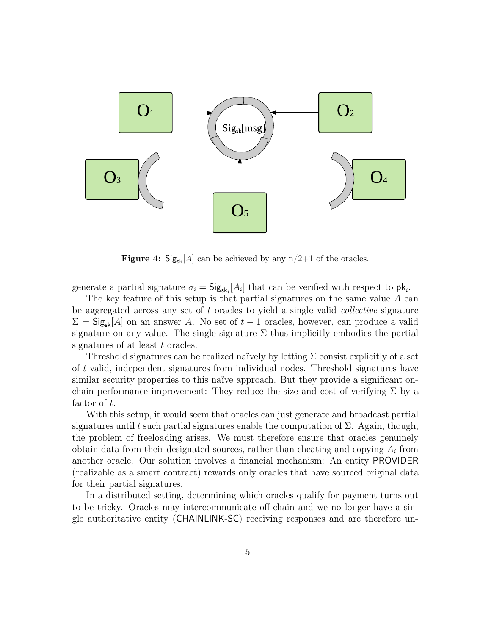

**Figure 4:** Sig<sub>sk</sub>[A] can be achieved by any  $n/2+1$  of the oracles.

generate a partial signature  $\sigma_i = \mathsf{Sig}_{\mathsf{sk}_i}[A_i]$  that can be verified with respect to  $\mathsf{pk}_i$ .

The key feature of this setup is that partial signatures on the same value A can be aggregated across any set of  $t$  oracles to yield a single valid *collective* signature  $\Sigma = \mathsf{Sig}_{\mathsf{sk}}[A]$  on an answer A. No set of  $t-1$  oracles, however, can produce a valid signature on any value. The single signature  $\Sigma$  thus implicitly embodies the partial signatures of at least t oracles.

Threshold signatures can be realized naïvely by letting  $\Sigma$  consist explicitly of a set of t valid, independent signatures from individual nodes. Threshold signatures have similar security properties to this naïve approach. But they provide a significant onchain performance improvement: They reduce the size and cost of verifying  $\Sigma$  by a factor of t.

With this setup, it would seem that oracles can just generate and broadcast partial signatures until t such partial signatures enable the computation of  $\Sigma$ . Again, though, the problem of freeloading arises. We must therefore ensure that oracles genuinely obtain data from their designated sources, rather than cheating and copying  $A_i$  from another oracle. Our solution involves a financial mechanism: An entity PROVIDER (realizable as a smart contract) rewards only oracles that have sourced original data for their partial signatures.

In a distributed setting, determining which oracles qualify for payment turns out to be tricky. Oracles may intercommunicate off-chain and we no longer have a single authoritative entity (CHAINLINK-SC) receiving responses and are therefore un-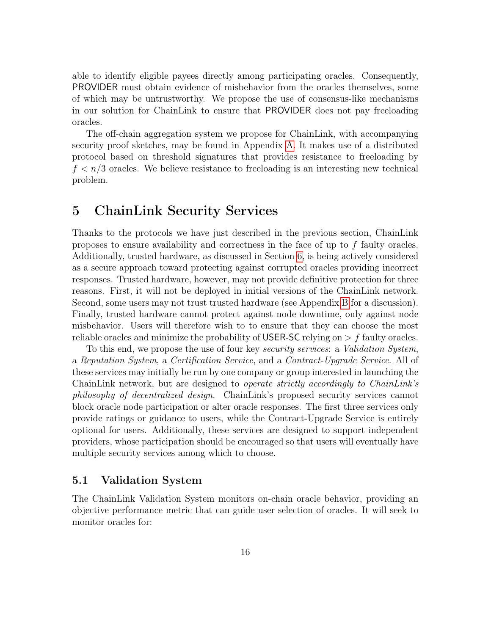able to identify eligible payees directly among participating oracles. Consequently, PROVIDER must obtain evidence of misbehavior from the oracles themselves, some of which may be untrustworthy. We propose the use of consensus-like mechanisms in our solution for ChainLink to ensure that PROVIDER does not pay freeloading oracles.

The off-chain aggregation system we propose for ChainLink, with accompanying security proof sketches, may be found in Appendix [A.](#page-32-0) It makes use of a distributed protocol based on threshold signatures that provides resistance to freeloading by  $f < n/3$  oracles. We believe resistance to freeloading is an interesting new technical problem.

### <span id="page-15-0"></span>5 ChainLink Security Services

Thanks to the protocols we have just described in the previous section, ChainLink proposes to ensure availability and correctness in the face of up to f faulty oracles. Additionally, trusted hardware, as discussed in Section [6,](#page-20-1) is being actively considered as a secure approach toward protecting against corrupted oracles providing incorrect responses. Trusted hardware, however, may not provide definitive protection for three reasons. First, it will not be deployed in initial versions of the ChainLink network. Second, some users may not trust trusted hardware (see Appendix [B](#page-37-0) for a discussion). Finally, trusted hardware cannot protect against node downtime, only against node misbehavior. Users will therefore wish to to ensure that they can choose the most reliable oracles and minimize the probability of USER-SC relying on  $\geq f$  faulty oracles.

To this end, we propose the use of four key security services: a Validation System, a Reputation System, a Certification Service, and a Contract-Upgrade Service. All of these services may initially be run by one company or group interested in launching the ChainLink network, but are designed to *operate strictly accordingly to ChainLink's* philosophy of decentralized design. ChainLink's proposed security services cannot block oracle node participation or alter oracle responses. The first three services only provide ratings or guidance to users, while the Contract-Upgrade Service is entirely optional for users. Additionally, these services are designed to support independent providers, whose participation should be encouraged so that users will eventually have multiple security services among which to choose.

### <span id="page-15-1"></span>5.1 Validation System

The ChainLink Validation System monitors on-chain oracle behavior, providing an objective performance metric that can guide user selection of oracles. It will seek to monitor oracles for: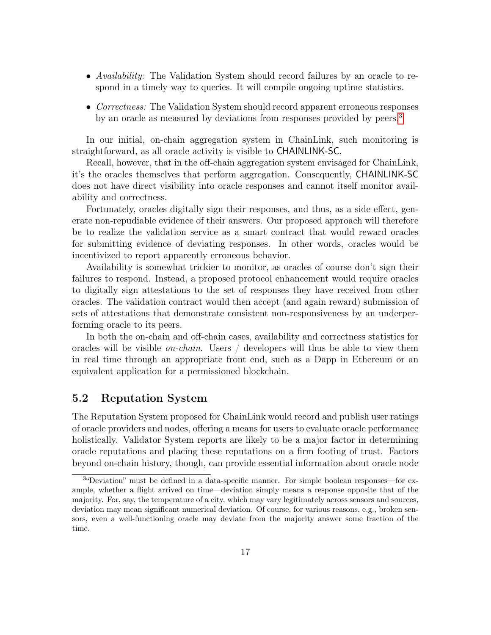- Availability: The Validation System should record failures by an oracle to respond in a timely way to queries. It will compile ongoing uptime statistics.
- Correctness: The Validation System should record apparent erroneous responses by an oracle as measured by deviations from responses provided by peers.<sup>[3](#page-16-1)</sup>

In our initial, on-chain aggregation system in ChainLink, such monitoring is straightforward, as all oracle activity is visible to CHAINLINK-SC.

Recall, however, that in the off-chain aggregation system envisaged for ChainLink, it's the oracles themselves that perform aggregation. Consequently, CHAINLINK-SC does not have direct visibility into oracle responses and cannot itself monitor availability and correctness.

Fortunately, oracles digitally sign their responses, and thus, as a side effect, generate non-repudiable evidence of their answers. Our proposed approach will therefore be to realize the validation service as a smart contract that would reward oracles for submitting evidence of deviating responses. In other words, oracles would be incentivized to report apparently erroneous behavior.

Availability is somewhat trickier to monitor, as oracles of course don't sign their failures to respond. Instead, a proposed protocol enhancement would require oracles to digitally sign attestations to the set of responses they have received from other oracles. The validation contract would then accept (and again reward) submission of sets of attestations that demonstrate consistent non-responsiveness by an underperforming oracle to its peers.

In both the on-chain and off-chain cases, availability and correctness statistics for oracles will be visible *on-chain*. Users  $\int$  developers will thus be able to view them in real time through an appropriate front end, such as a Dapp in Ethereum or an equivalent application for a permissioned blockchain.

#### <span id="page-16-0"></span>5.2 Reputation System

The Reputation System proposed for ChainLink would record and publish user ratings of oracle providers and nodes, offering a means for users to evaluate oracle performance holistically. Validator System reports are likely to be a major factor in determining oracle reputations and placing these reputations on a firm footing of trust. Factors beyond on-chain history, though, can provide essential information about oracle node

<span id="page-16-1"></span><sup>&</sup>lt;sup>3</sup>"Deviation" must be defined in a data-specific manner. For simple boolean responses—for example, whether a flight arrived on time—deviation simply means a response opposite that of the majority. For, say, the temperature of a city, which may vary legitimately across sensors and sources, deviation may mean significant numerical deviation. Of course, for various reasons, e.g., broken sensors, even a well-functioning oracle may deviate from the majority answer some fraction of the time.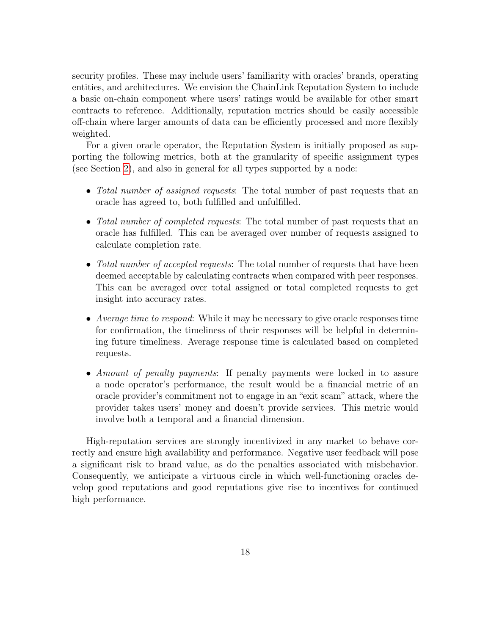security profiles. These may include users' familiarity with oracles' brands, operating entities, and architectures. We envision the ChainLink Reputation System to include a basic on-chain component where users' ratings would be available for other smart contracts to reference. Additionally, reputation metrics should be easily accessible off-chain where larger amounts of data can be efficiently processed and more flexibly weighted.

For a given oracle operator, the Reputation System is initially proposed as supporting the following metrics, both at the granularity of specific assignment types (see Section [2\)](#page-3-0), and also in general for all types supported by a node:

- Total number of assigned requests: The total number of past requests that an oracle has agreed to, both fulfilled and unfulfilled.
- Total number of completed requests: The total number of past requests that an oracle has fulfilled. This can be averaged over number of requests assigned to calculate completion rate.
- Total number of accepted requests: The total number of requests that have been deemed acceptable by calculating contracts when compared with peer responses. This can be averaged over total assigned or total completed requests to get insight into accuracy rates.
- Average time to respond: While it may be necessary to give oracle responses time for confirmation, the timeliness of their responses will be helpful in determining future timeliness. Average response time is calculated based on completed requests.
- Amount of penalty payments: If penalty payments were locked in to assure a node operator's performance, the result would be a financial metric of an oracle provider's commitment not to engage in an "exit scam" attack, where the provider takes users' money and doesn't provide services. This metric would involve both a temporal and a financial dimension.

High-reputation services are strongly incentivized in any market to behave correctly and ensure high availability and performance. Negative user feedback will pose a significant risk to brand value, as do the penalties associated with misbehavior. Consequently, we anticipate a virtuous circle in which well-functioning oracles develop good reputations and good reputations give rise to incentives for continued high performance.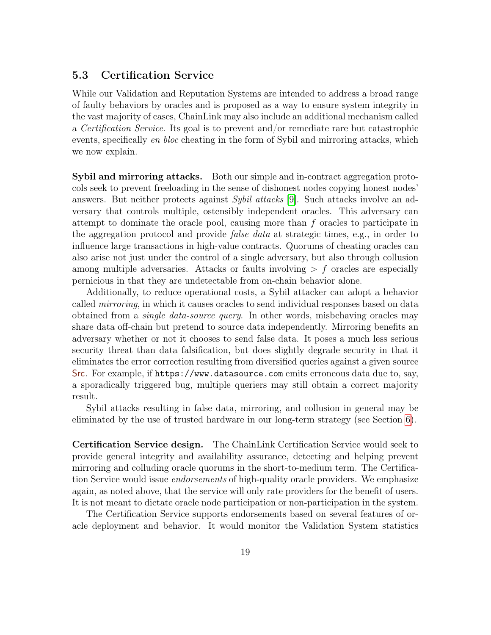### <span id="page-18-0"></span>5.3 Certification Service

While our Validation and Reputation Systems are intended to address a broad range of faulty behaviors by oracles and is proposed as a way to ensure system integrity in the vast majority of cases, ChainLink may also include an additional mechanism called a Certification Service. Its goal is to prevent and/or remediate rare but catastrophic events, specifically en bloc cheating in the form of Sybil and mirroring attacks, which we now explain.

Sybil and mirroring attacks. Both our simple and in-contract aggregation protocols seek to prevent freeloading in the sense of dishonest nodes copying honest nodes' answers. But neither protects against *Sybil attacks* [\[9\]](#page-27-3). Such attacks involve an adversary that controls multiple, ostensibly independent oracles. This adversary can attempt to dominate the oracle pool, causing more than f oracles to participate in the aggregation protocol and provide false data at strategic times, e.g., in order to influence large transactions in high-value contracts. Quorums of cheating oracles can also arise not just under the control of a single adversary, but also through collusion among multiple adversaries. Attacks or faults involving  $\geq f$  oracles are especially pernicious in that they are undetectable from on-chain behavior alone.

Additionally, to reduce operational costs, a Sybil attacker can adopt a behavior called *mirroring*, in which it causes oracles to send individual responses based on data obtained from a single data-source query. In other words, misbehaving oracles may share data off-chain but pretend to source data independently. Mirroring benefits an adversary whether or not it chooses to send false data. It poses a much less serious security threat than data falsification, but does slightly degrade security in that it eliminates the error correction resulting from diversified queries against a given source Src. For example, if https://www.datasource.com emits erroneous data due to, say, a sporadically triggered bug, multiple queriers may still obtain a correct majority result.

Sybil attacks resulting in false data, mirroring, and collusion in general may be eliminated by the use of trusted hardware in our long-term strategy (see Section [6\)](#page-20-1).

Certification Service design. The ChainLink Certification Service would seek to provide general integrity and availability assurance, detecting and helping prevent mirroring and colluding oracle quorums in the short-to-medium term. The Certification Service would issue *endorsements* of high-quality oracle providers. We emphasize again, as noted above, that the service will only rate providers for the benefit of users. It is not meant to dictate oracle node participation or non-participation in the system.

The Certification Service supports endorsements based on several features of oracle deployment and behavior. It would monitor the Validation System statistics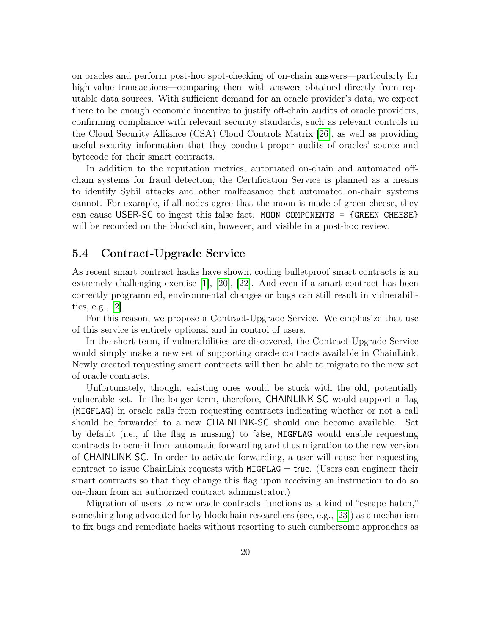on oracles and perform post-hoc spot-checking of on-chain answers—particularly for high-value transactions—comparing them with answers obtained directly from reputable data sources. With sufficient demand for an oracle provider's data, we expect there to be enough economic incentive to justify off-chain audits of oracle providers, confirming compliance with relevant security standards, such as relevant controls in the Cloud Security Alliance (CSA) Cloud Controls Matrix [\[26\]](#page-29-2), as well as providing useful security information that they conduct proper audits of oracles' source and bytecode for their smart contracts.

In addition to the reputation metrics, automated on-chain and automated offchain systems for fraud detection, the Certification Service is planned as a means to identify Sybil attacks and other malfeasance that automated on-chain systems cannot. For example, if all nodes agree that the moon is made of green cheese, they can cause USER-SC to ingest this false fact. MOON COMPONENTS = {GREEN CHEESE} will be recorded on the blockchain, however, and visible in a post-hoc review.

#### <span id="page-19-0"></span>5.4 Contract-Upgrade Service

As recent smart contract hacks have shown, coding bulletproof smart contracts is an extremely challenging exercise  $\vert 1 \vert$ ,  $\vert 20 \vert$ ,  $\vert 22 \vert$ . And even if a smart contract has been correctly programmed, environmental changes or bugs can still result in vulnerabilities, e.g., [\[2\]](#page-27-5).

For this reason, we propose a Contract-Upgrade Service. We emphasize that use of this service is entirely optional and in control of users.

In the short term, if vulnerabilities are discovered, the Contract-Upgrade Service would simply make a new set of supporting oracle contracts available in ChainLink. Newly created requesting smart contracts will then be able to migrate to the new set of oracle contracts.

Unfortunately, though, existing ones would be stuck with the old, potentially vulnerable set. In the longer term, therefore, CHAINLINK-SC would support a flag (MIGFLAG) in oracle calls from requesting contracts indicating whether or not a call should be forwarded to a new CHAINLINK-SC should one become available. Set by default (i.e., if the flag is missing) to false, MIGFLAG would enable requesting contracts to benefit from automatic forwarding and thus migration to the new version of CHAINLINK-SC. In order to activate forwarding, a user will cause her requesting contract to issue ChainLink requests with  $MIGFLAG = true$ . (Users can engineer their smart contracts so that they change this flag upon receiving an instruction to do so on-chain from an authorized contract administrator.)

Migration of users to new oracle contracts functions as a kind of "escape hatch," something long advocated for by blockchain researchers (see, e.g., [\[23\]](#page-29-5)) as a mechanism to fix bugs and remediate hacks without resorting to such cumbersome approaches as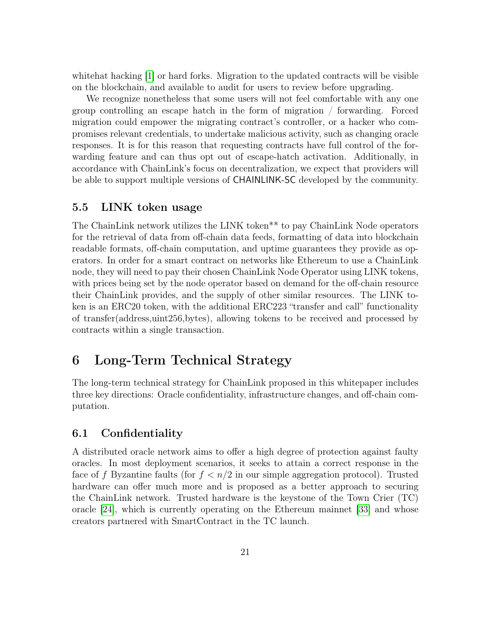whitehat hacking [\[1\]](#page-27-4) or hard forks. Migration to the updated contracts will be visible on the blockchain, and available to audit for users to review before upgrading.

We recognize nonetheless that some users will not feel comfortable with any one group controlling an escape hatch in the form of migration / forwarding. Forced migration could empower the migrating contract's controller, or a hacker who compromises relevant credentials, to undertake malicious activity, such as changing oracle responses. It is for this reason that requesting contracts have full control of the forwarding feature and can thus opt out of escape-hatch activation. Additionally, in accordance with ChainLink's focus on decentralization, we expect that providers will be able to support multiple versions of CHAINLINK-SC developed by the community.

#### <span id="page-20-0"></span>5.5 LINK token usage

The ChainLink network utilizes the LINK token\*\* to pay ChainLink Node operators for the retrieval of data from off-chain data feeds, formatting of data into blockchain readable formats, off-chain computation, and uptime guarantees they provide as operators. In order for a smart contract on networks like Ethereum to use a ChainLink node, they will need to pay their chosen ChainLink Node Operator using LINK tokens, with prices being set by the node operator based on demand for the off-chain resource their ChainLink provides, and the supply of other similar resources. The LINK token is an ERC20 token, with the additional ERC223 "transfer and call" functionality of transfer(address,uint256,bytes), allowing tokens to be received and processed by contracts within a single transaction.

# <span id="page-20-1"></span>6 Long-Term Technical Strategy

The long-term technical strategy for ChainLink proposed in this whitepaper includes three key directions: Oracle confidentiality, infrastructure changes, and off-chain computation.

### <span id="page-20-2"></span>6.1 Confidentiality

A distributed oracle network aims to offer a high degree of protection against faulty oracles. In most deployment scenarios, it seeks to attain a correct response in the face of f Byzantine faults (for  $f < n/2$  in our simple aggregation protocol). Trusted hardware can offer much more and is proposed as a better approach to securing the ChainLink network. Trusted hardware is the keystone of the Town Crier (TC) oracle [\[24\]](#page-29-1), which is currently operating on the Ethereum mainnet [\[33\]](#page-29-6) and whose creators partnered with SmartContract in the TC launch.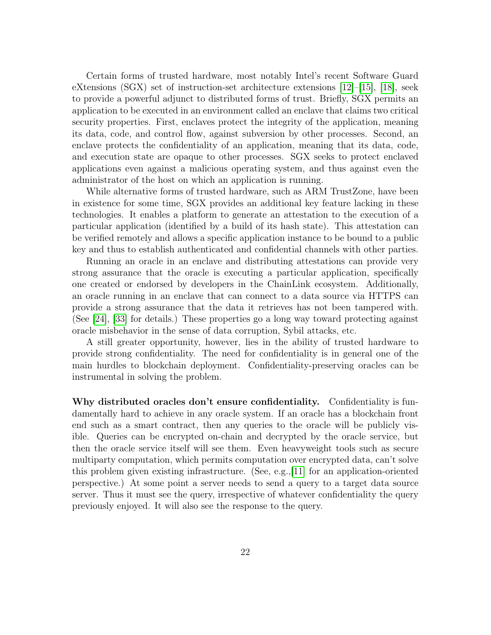Certain forms of trusted hardware, most notably Intel's recent Software Guard eXtensions (SGX) set of instruction-set architecture extensions [\[12\]](#page-28-1)–[\[15\]](#page-28-2), [\[18\]](#page-28-3), seek to provide a powerful adjunct to distributed forms of trust. Briefly, SGX permits an application to be executed in an environment called an enclave that claims two critical security properties. First, enclaves protect the integrity of the application, meaning its data, code, and control flow, against subversion by other processes. Second, an enclave protects the confidentiality of an application, meaning that its data, code, and execution state are opaque to other processes. SGX seeks to protect enclaved applications even against a malicious operating system, and thus against even the administrator of the host on which an application is running.

While alternative forms of trusted hardware, such as ARM TrustZone, have been in existence for some time, SGX provides an additional key feature lacking in these technologies. It enables a platform to generate an attestation to the execution of a particular application (identified by a build of its hash state). This attestation can be verified remotely and allows a specific application instance to be bound to a public key and thus to establish authenticated and confidential channels with other parties.

Running an oracle in an enclave and distributing attestations can provide very strong assurance that the oracle is executing a particular application, specifically one created or endorsed by developers in the ChainLink ecosystem. Additionally, an oracle running in an enclave that can connect to a data source via HTTPS can provide a strong assurance that the data it retrieves has not been tampered with. (See [\[24\]](#page-29-1), [\[33\]](#page-29-6) for details.) These properties go a long way toward protecting against oracle misbehavior in the sense of data corruption, Sybil attacks, etc.

A still greater opportunity, however, lies in the ability of trusted hardware to provide strong confidentiality. The need for confidentiality is in general one of the main hurdles to blockchain deployment. Confidentiality-preserving oracles can be instrumental in solving the problem.

Why distributed oracles don't ensure confidentiality. Confidentiality is fundamentally hard to achieve in any oracle system. If an oracle has a blockchain front end such as a smart contract, then any queries to the oracle will be publicly visible. Queries can be encrypted on-chain and decrypted by the oracle service, but then the oracle service itself will see them. Even heavyweight tools such as secure multiparty computation, which permits computation over encrypted data, can't solve this problem given existing infrastructure. (See, e.g.,[\[11\]](#page-28-4) for an application-oriented perspective.) At some point a server needs to send a query to a target data source server. Thus it must see the query, irrespective of whatever confidentiality the query previously enjoyed. It will also see the response to the query.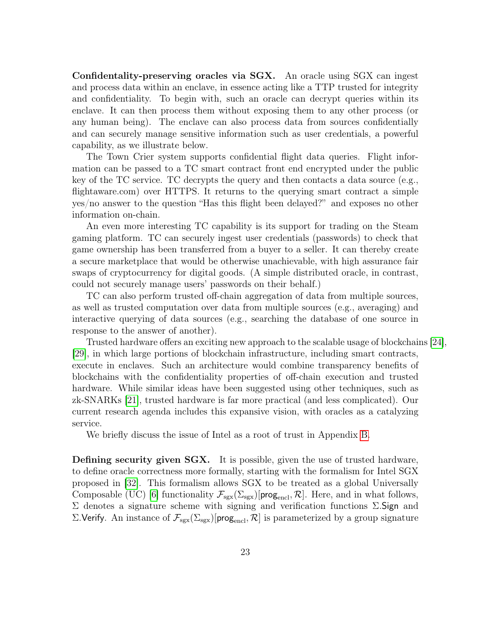Confidentality-preserving oracles via SGX. An oracle using SGX can ingest and process data within an enclave, in essence acting like a TTP trusted for integrity and confidentiality. To begin with, such an oracle can decrypt queries within its enclave. It can then process them without exposing them to any other process (or any human being). The enclave can also process data from sources confidentially and can securely manage sensitive information such as user credentials, a powerful capability, as we illustrate below.

The Town Crier system supports confidential flight data queries. Flight information can be passed to a TC smart contract front end encrypted under the public key of the TC service. TC decrypts the query and then contacts a data source (e.g., flightaware.com) over HTTPS. It returns to the querying smart contract a simple yes/no answer to the question "Has this flight been delayed?" and exposes no other information on-chain.

An even more interesting TC capability is its support for trading on the Steam gaming platform. TC can securely ingest user credentials (passwords) to check that game ownership has been transferred from a buyer to a seller. It can thereby create a secure marketplace that would be otherwise unachievable, with high assurance fair swaps of cryptocurrency for digital goods. (A simple distributed oracle, in contrast, could not securely manage users' passwords on their behalf.)

TC can also perform trusted off-chain aggregation of data from multiple sources, as well as trusted computation over data from multiple sources (e.g., averaging) and interactive querying of data sources (e.g., searching the database of one source in response to the answer of another).

Trusted hardware offers an exciting new approach to the scalable usage of blockchains [\[24\]](#page-29-1), [\[29\]](#page-29-7), in which large portions of blockchain infrastructure, including smart contracts, execute in enclaves. Such an architecture would combine transparency benefits of blockchains with the confidentiality properties of off-chain execution and trusted hardware. While similar ideas have been suggested using other techniques, such as zk-SNARKs [\[21\]](#page-29-8), trusted hardware is far more practical (and less complicated). Our current research agenda includes this expansive vision, with oracles as a catalyzing service.

We briefly discuss the issue of Intel as a root of trust in Appendix [B.](#page-37-0)

Defining security given SGX. It is possible, given the use of trusted hardware, to define oracle correctness more formally, starting with the formalism for Intel SGX proposed in [\[32\]](#page-29-9). This formalism allows SGX to be treated as a global Universally Composable (UC) [\[6\]](#page-27-6) functionality  $\mathcal{F}_{sgx}(\Sigma_{sgx})$ [prog<sub>encl</sub>,  $\mathcal{R}$ ]. Here, and in what follows, Σ denotes a signature scheme with signing and verification functions Σ.Sign and Σ.Verify. An instance of  $\mathcal{F}_{sgx}(\Sigma_{sgx})$ [prog<sub>encl</sub>,  $\mathcal{R}$ ] is parameterized by a group signature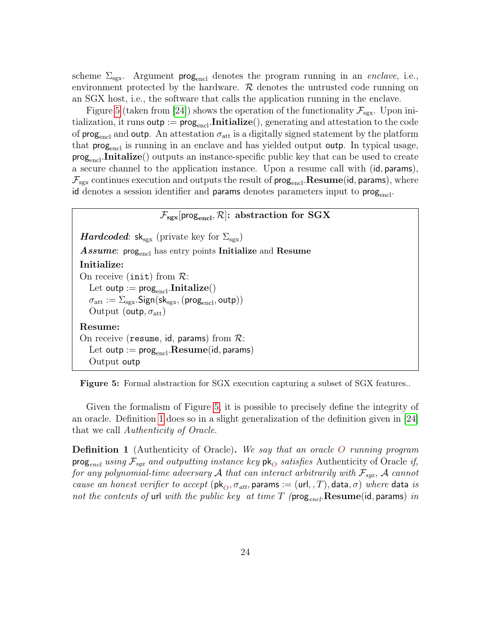scheme  $\Sigma_{\text{sgx}}$ . Argument prog<sub>encl</sub> denotes the program running in an *enclave*, i.e., environment protected by the hardware.  $R$  denotes the untrusted code running on an SGX host, i.e., the software that calls the application running in the enclave.

Figure [5](#page-23-0) (taken from [\[24\]](#page-29-1)) shows the operation of the functionality  $\mathcal{F}_{ssx}$ . Upon initialization, it runs outp :=  $\text{prog}_{\text{encl}}$ . Initialize(), generating and attestation to the code of prog<sub>encl</sub> and outp. An attestation  $\sigma_{\text{att}}$  is a digitally signed statement by the platform that  $\mathsf{prog}_{\mathsf{encl}}$  is running in an enclave and has yielded output outp. In typical usage,  $\mathsf{prog}_{\mathsf{encl}}$ . Initalize() outputs an instance-specific public key that can be used to create a secure channel to the application instance. Upon a resume call with (id, params),  $\mathcal{F}_{\text{sgx}}$  continues execution and outputs the result of prog<sub>encl</sub>. Resume(id, params), where id denotes a session identifier and params denotes parameters input to prog<sub>encl</sub>.

#### $\mathcal{F}_{\text{sex}}$ [prog<sub>encl</sub>,  $\mathcal{R}$ ]: abstraction for SGX

<span id="page-23-0"></span>*Hardcoded*:  $sk_{sgx}$  (private key for  $\Sigma_{sgx}$ ) Assume: prog<sub>encl</sub> has entry points Initialize and Resume Initialize: On receive (init) from  $\mathcal{R}$ : Let  $\mathsf{outp} := \mathsf{prog}_{\mathsf{encl}}.\mathbf{Initialize}()$  $\sigma_{\rm att} := \Sigma_{\rm sgx}.\mathsf{Sign}(\mathsf{sk}_{\rm sgx},(\mathsf{prog}_{\rm encl},\mathsf{outp}))$ Output (outp,  $\sigma_{\text{att}}$ ) Resume: On receive (resume, id, params) from  $\mathcal{R}$ : Let outp :=  $prog<sub>encl</sub>$ . Resume(id, params) Output outp

Figure 5: Formal abstraction for SGX execution capturing a subset of SGX features..

Given the formalism of Figure [5,](#page-23-0) it is possible to precisely define the integrity of an oracle. Definition [1](#page-23-1) does so in a slight generalization of the definition given in [\[24\]](#page-29-1) that we call Authenticity of Oracle.

<span id="page-23-1"></span>**Definition 1** (Authenticity of Oracle). We say that an oracle O running program prog<sub>encl</sub> using  $\mathcal{F}_{sqx}$  and outputting instance key pk<sub>O</sub> satisfies Authenticity of Oracle if, for any polynomial-time adversary A that can interact arbitrarily with  $\mathcal{F}_{sqx}$ , A cannot cause an honest verifier to accept ( $\mathsf{pk}_O$ ,  $\sigma_{att}$ , params := (url, , T), data,  $\sigma$ ) where data is not the contents of url with the public key at time T ( $\mathsf{prog}_{encl}$ . Resume(id, params) in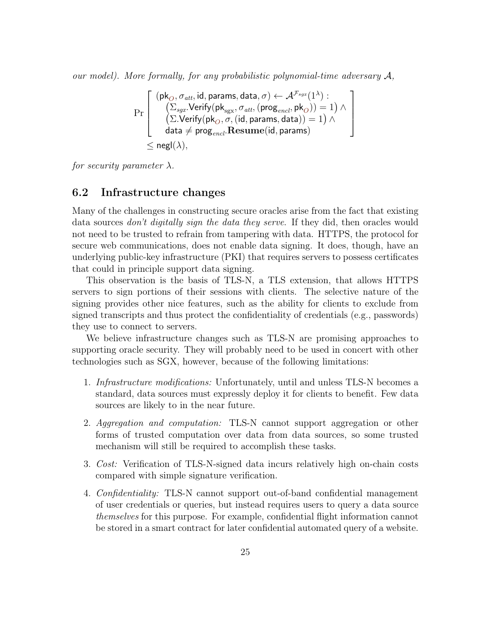our model). More formally, for any probabilistic polynomial-time adversary  $A$ ,

$$
\Pr\left[\begin{array}{c}(\textsf{pk}_O, \sigma_{att}, \textsf{id}, \textsf{params}, \textsf{data}, \sigma) \leftarrow \mathcal{A}^{\mathcal{F}_{sgx}}(1^\lambda): \\ \left(\sum_{sgx}.\textsf{Verify}(\textsf{pk}_{sgx}, \sigma_{att}, (\textsf{prog}_{encl}, \textsf{pk}_O))=1\right) \wedge \\ \left(\sum.\textsf{Verify}(\textsf{pk}_O, \sigma, (\textsf{id}, \textsf{params}, \textsf{data}))=1\right) \wedge \\ \textsf{data} \neq \textsf{prog}_{encl}.\textsf{Resume}(\textsf{id}, \textsf{params}) \\ \leq \textsf{negl}(\lambda),\end{array}\right]
$$

for security parameter  $\lambda$ .

#### <span id="page-24-0"></span>6.2 Infrastructure changes

Many of the challenges in constructing secure oracles arise from the fact that existing data sources *don't digitally sign the data they serve*. If they did, then oracles would not need to be trusted to refrain from tampering with data. HTTPS, the protocol for secure web communications, does not enable data signing. It does, though, have an underlying public-key infrastructure (PKI) that requires servers to possess certificates that could in principle support data signing.

This observation is the basis of TLS-N, a TLS extension, that allows HTTPS servers to sign portions of their sessions with clients. The selective nature of the signing provides other nice features, such as the ability for clients to exclude from signed transcripts and thus protect the confidentiality of credentials (e.g., passwords) they use to connect to servers.

We believe infrastructure changes such as TLS-N are promising approaches to supporting oracle security. They will probably need to be used in concert with other technologies such as SGX, however, because of the following limitations:

- 1. Infrastructure modifications: Unfortunately, until and unless TLS-N becomes a standard, data sources must expressly deploy it for clients to benefit. Few data sources are likely to in the near future.
- 2. Aggregation and computation: TLS-N cannot support aggregation or other forms of trusted computation over data from data sources, so some trusted mechanism will still be required to accomplish these tasks.
- 3. Cost: Verification of TLS-N-signed data incurs relatively high on-chain costs compared with simple signature verification.
- 4. Confidentiality: TLS-N cannot support out-of-band confidential management of user credentials or queries, but instead requires users to query a data source themselves for this purpose. For example, confidential flight information cannot be stored in a smart contract for later confidential automated query of a website.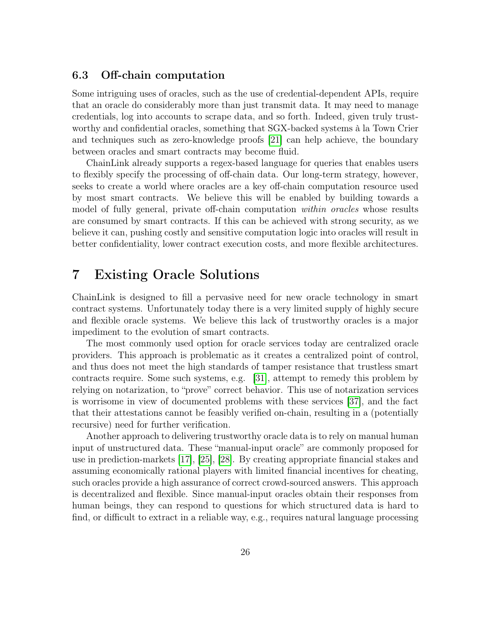### <span id="page-25-0"></span>6.3 Off-chain computation

Some intriguing uses of oracles, such as the use of credential-dependent APIs, require that an oracle do considerably more than just transmit data. It may need to manage credentials, log into accounts to scrape data, and so forth. Indeed, given truly trustworthy and confidential oracles, something that SGX-backed systems à la Town Crier and techniques such as zero-knowledge proofs [\[21\]](#page-29-8) can help achieve, the boundary between oracles and smart contracts may become fluid.

ChainLink already supports a regex-based language for queries that enables users to flexibly specify the processing of off-chain data. Our long-term strategy, however, seeks to create a world where oracles are a key off-chain computation resource used by most smart contracts. We believe this will be enabled by building towards a model of fully general, private off-chain computation *within oracles* whose results are consumed by smart contracts. If this can be achieved with strong security, as we believe it can, pushing costly and sensitive computation logic into oracles will result in better confidentiality, lower contract execution costs, and more flexible architectures.

### <span id="page-25-1"></span>7 Existing Oracle Solutions

ChainLink is designed to fill a pervasive need for new oracle technology in smart contract systems. Unfortunately today there is a very limited supply of highly secure and flexible oracle systems. We believe this lack of trustworthy oracles is a major impediment to the evolution of smart contracts.

The most commonly used option for oracle services today are centralized oracle providers. This approach is problematic as it creates a centralized point of control, and thus does not meet the high standards of tamper resistance that trustless smart contracts require. Some such systems, e.g. [\[31\]](#page-29-10), attempt to remedy this problem by relying on notarization, to "prove" correct behavior. This use of notarization services is worrisome in view of documented problems with these services [\[37\]](#page-30-2), and the fact that their attestations cannot be feasibly verified on-chain, resulting in a (potentially recursive) need for further verification.

Another approach to delivering trustworthy oracle data is to rely on manual human input of unstructured data. These "manual-input oracle" are commonly proposed for use in prediction-markets [\[17\]](#page-28-5), [\[25\]](#page-29-11), [\[28\]](#page-29-12). By creating appropriate financial stakes and assuming economically rational players with limited financial incentives for cheating, such oracles provide a high assurance of correct crowd-sourced answers. This approach is decentralized and flexible. Since manual-input oracles obtain their responses from human beings, they can respond to questions for which structured data is hard to find, or difficult to extract in a reliable way, e.g., requires natural language processing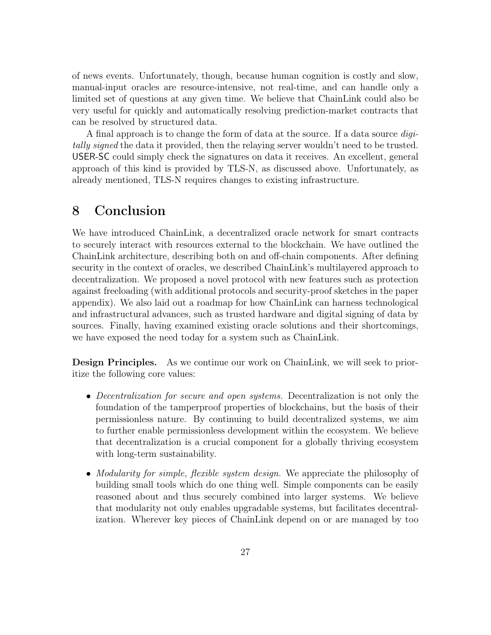of news events. Unfortunately, though, because human cognition is costly and slow, manual-input oracles are resource-intensive, not real-time, and can handle only a limited set of questions at any given time. We believe that ChainLink could also be very useful for quickly and automatically resolving prediction-market contracts that can be resolved by structured data.

A final approach is to change the form of data at the source. If a data source digitally signed the data it provided, then the relaying server wouldn't need to be trusted. USER-SC could simply check the signatures on data it receives. An excellent, general approach of this kind is provided by TLS-N, as discussed above. Unfortunately, as already mentioned, TLS-N requires changes to existing infrastructure.

### <span id="page-26-0"></span>8 Conclusion

We have introduced ChainLink, a decentralized oracle network for smart contracts to securely interact with resources external to the blockchain. We have outlined the ChainLink architecture, describing both on and off-chain components. After defining security in the context of oracles, we described ChainLink's multilayered approach to decentralization. We proposed a novel protocol with new features such as protection against freeloading (with additional protocols and security-proof sketches in the paper appendix). We also laid out a roadmap for how ChainLink can harness technological and infrastructural advances, such as trusted hardware and digital signing of data by sources. Finally, having examined existing oracle solutions and their shortcomings, we have exposed the need today for a system such as ChainLink.

Design Principles. As we continue our work on ChainLink, we will seek to prioritize the following core values:

- Decentralization for secure and open systems. Decentralization is not only the foundation of the tamperproof properties of blockchains, but the basis of their permissionless nature. By continuing to build decentralized systems, we aim to further enable permissionless development within the ecosystem. We believe that decentralization is a crucial component for a globally thriving ecosystem with long-term sustainability.
- Modularity for simple, flexible system design. We appreciate the philosophy of building small tools which do one thing well. Simple components can be easily reasoned about and thus securely combined into larger systems. We believe that modularity not only enables upgradable systems, but facilitates decentralization. Wherever key pieces of ChainLink depend on or are managed by too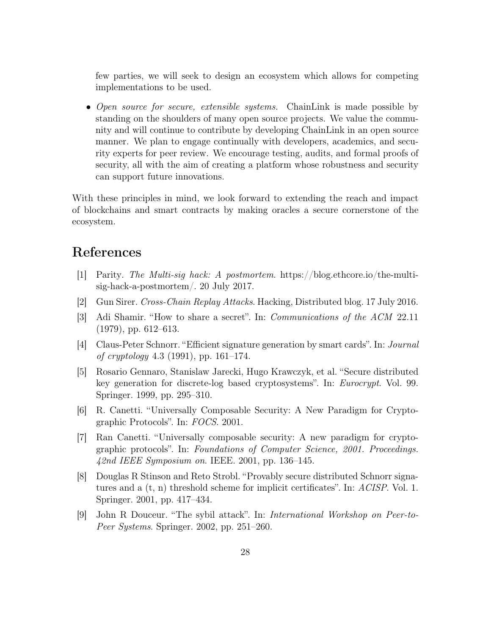few parties, we will seek to design an ecosystem which allows for competing implementations to be used.

• Open source for secure, extensible systems. ChainLink is made possible by standing on the shoulders of many open source projects. We value the community and will continue to contribute by developing ChainLink in an open source manner. We plan to engage continually with developers, academics, and security experts for peer review. We encourage testing, audits, and formal proofs of security, all with the aim of creating a platform whose robustness and security can support future innovations.

With these principles in mind, we look forward to extending the reach and impact of blockchains and smart contracts by making oracles a secure cornerstone of the ecosystem.

## References

- <span id="page-27-4"></span>[1] Parity. The Multi-sig hack: A postmortem. https://blog.ethcore.io/the-multisig-hack-a-postmortem/. 20 July 2017.
- <span id="page-27-5"></span>[2] Gun Sirer. Cross-Chain Replay Attacks. Hacking, Distributed blog. 17 July 2016.
- <span id="page-27-2"></span>[3] Adi Shamir. "How to share a secret". In: Communications of the ACM 22.11 (1979), pp. 612–613.
- <span id="page-27-1"></span>[4] Claus-Peter Schnorr. "Efficient signature generation by smart cards". In: Journal of cryptology 4.3 (1991), pp. 161–174.
- <span id="page-27-8"></span>[5] Rosario Gennaro, Stanislaw Jarecki, Hugo Krawczyk, et al. "Secure distributed key generation for discrete-log based cryptosystems". In: Eurocrypt. Vol. 99. Springer. 1999, pp. 295–310.
- <span id="page-27-6"></span>[6] R. Canetti. "Universally Composable Security: A New Paradigm for Cryptographic Protocols". In: FOCS. 2001.
- <span id="page-27-0"></span>[7] Ran Canetti. "Universally composable security: A new paradigm for cryptographic protocols". In: Foundations of Computer Science, 2001. Proceedings. 42nd IEEE Symposium on. IEEE. 2001, pp. 136–145.
- <span id="page-27-7"></span>[8] Douglas R Stinson and Reto Strobl. "Provably secure distributed Schnorr signatures and a (t, n) threshold scheme for implicit certificates". In: ACISP. Vol. 1. Springer. 2001, pp. 417–434.
- <span id="page-27-3"></span>[9] John R Douceur. "The sybil attack". In: International Workshop on Peer-to-Peer Systems. Springer. 2002, pp. 251–260.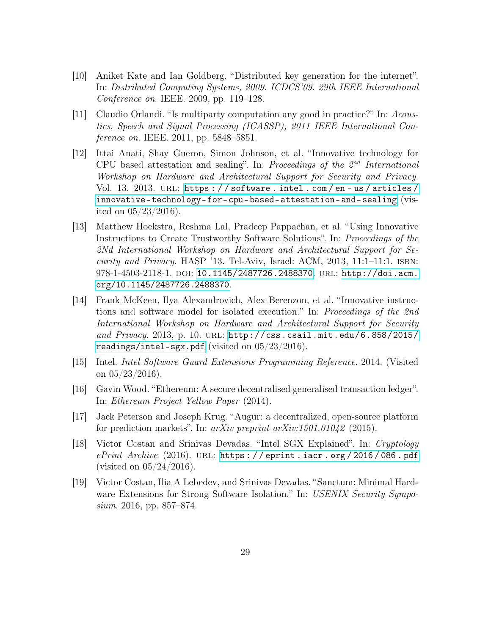- <span id="page-28-6"></span>[10] Aniket Kate and Ian Goldberg. "Distributed key generation for the internet". In: Distributed Computing Systems, 2009. ICDCS'09. 29th IEEE International Conference on. IEEE. 2009, pp. 119–128.
- <span id="page-28-4"></span>[11] Claudio Orlandi. "Is multiparty computation any good in practice?" In: Acoustics, Speech and Signal Processing (ICASSP), 2011 IEEE International Conference on. IEEE. 2011, pp. 5848–5851.
- <span id="page-28-1"></span>[12] Ittai Anati, Shay Gueron, Simon Johnson, et al. "Innovative technology for CPU based attestation and sealing". In: Proceedings of the  $2^{nd}$  International Workshop on Hardware and Architectural Support for Security and Privacy. Vol. 13. 2013. URL: https://software.intel.com/en-us/articles/ [innovative-technology-for-cpu-based-attestation-and-sealing](https://software.intel.com/en-us/articles/innovative-technology-for-cpu-based-attestation-and-sealing) (visited on 05/23/2016).
- [13] Matthew Hoekstra, Reshma Lal, Pradeep Pappachan, et al. "Using Innovative Instructions to Create Trustworthy Software Solutions". In: Proceedings of the 2Nd International Workshop on Hardware and Architectural Support for Security and Privacy. HASP '13. Tel-Aviv, Israel: ACM, 2013, 11:1–11:1. isbn: 978-1-4503-2118-1. DOI: [10.1145/2487726.2488370](https://doi.org/10.1145/2487726.2488370). URL: [http://doi.acm.](http://doi.acm.org/10.1145/2487726.2488370) [org/10.1145/2487726.2488370](http://doi.acm.org/10.1145/2487726.2488370).
- [14] Frank McKeen, Ilya Alexandrovich, Alex Berenzon, et al. "Innovative instructions and software model for isolated execution." In: Proceedings of the 2nd International Workshop on Hardware and Architectural Support for Security and Privacy. 2013, p. 10. url: [http://css.csail.mit.edu/6.858/2015/](http://css.csail.mit.edu/6.858/2015/readings/intel-sgx.pdf) [readings/intel-sgx.pdf](http://css.csail.mit.edu/6.858/2015/readings/intel-sgx.pdf) (visited on  $05/23/2016$ ).
- <span id="page-28-2"></span>[15] Intel. Intel Software Guard Extensions Programming Reference. 2014. (Visited on  $05/23/2016$ ).
- <span id="page-28-0"></span>[16] Gavin Wood. "Ethereum: A secure decentralised generalised transaction ledger". In: Ethereum Project Yellow Paper (2014).
- <span id="page-28-5"></span>[17] Jack Peterson and Joseph Krug. "Augur: a decentralized, open-source platform for prediction markets". In: arXiv preprint arXiv:1501.01042 (2015).
- <span id="page-28-3"></span>[18] Victor Costan and Srinivas Devadas. "Intel SGX Explained". In: Cryptology  $ePrint$  Archive (2016). URL: https://eprint.iacr.org/2016/086.pdf (visited on  $05/24/2016$ ).
- <span id="page-28-7"></span>[19] Victor Costan, Ilia A Lebedev, and Srinivas Devadas. "Sanctum: Minimal Hardware Extensions for Strong Software Isolation." In: USENIX Security Symposium. 2016, pp. 857–874.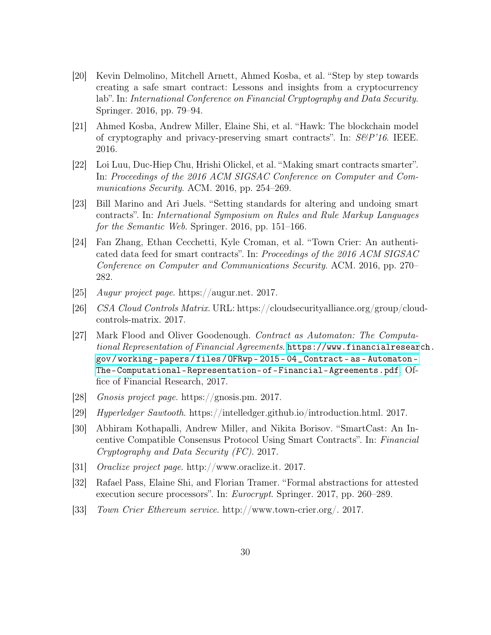- <span id="page-29-3"></span>[20] Kevin Delmolino, Mitchell Arnett, Ahmed Kosba, et al. "Step by step towards creating a safe smart contract: Lessons and insights from a cryptocurrency lab". In: International Conference on Financial Cryptography and Data Security. Springer. 2016, pp. 79–94.
- <span id="page-29-8"></span>[21] Ahmed Kosba, Andrew Miller, Elaine Shi, et al. "Hawk: The blockchain model of cryptography and privacy-preserving smart contracts". In:  $S\&P'16$ . IEEE. 2016.
- <span id="page-29-4"></span>[22] Loi Luu, Duc-Hiep Chu, Hrishi Olickel, et al. "Making smart contracts smarter". In: Proceedings of the 2016 ACM SIGSAC Conference on Computer and Communications Security. ACM. 2016, pp. 254–269.
- <span id="page-29-5"></span>[23] Bill Marino and Ari Juels. "Setting standards for altering and undoing smart contracts". In: International Symposium on Rules and Rule Markup Languages for the Semantic Web. Springer. 2016, pp. 151–166.
- <span id="page-29-1"></span>[24] Fan Zhang, Ethan Cecchetti, Kyle Croman, et al. "Town Crier: An authenticated data feed for smart contracts". In: Proceedings of the 2016 ACM SIGSAC Conference on Computer and Communications Security. ACM. 2016, pp. 270– 282.
- <span id="page-29-11"></span>[25] Augur project page. https://augur.net. 2017.
- <span id="page-29-2"></span>[26] CSA Cloud Controls Matrix. URL: https://cloudsecurityalliance.org/group/cloudcontrols-matrix. 2017.
- <span id="page-29-0"></span>[27] Mark Flood and Oliver Goodenough. Contract as Automaton: The Computational Representation of Financial Agreements. [https://www.financialresear](https://www.financialresearch.gov/working-papers/files/OFRwp-2015-04_Contract-as-Automaton-The-Computational-Representation-of-Financial-Agreements.pdf)ch. [gov / working - papers / files / OFRwp - 2015 - 04 \\_ Contract - as - Automaton -](https://www.financialresearch.gov/working-papers/files/OFRwp-2015-04_Contract-as-Automaton-The-Computational-Representation-of-Financial-Agreements.pdf) [The-Computational-Representation-of-Financial-Agreements.pdf](https://www.financialresearch.gov/working-papers/files/OFRwp-2015-04_Contract-as-Automaton-The-Computational-Representation-of-Financial-Agreements.pdf). Office of Financial Research, 2017.
- <span id="page-29-12"></span>[28] Gnosis project page. https://gnosis.pm. 2017.
- <span id="page-29-7"></span>[29] Hyperledger Sawtooth. https://intelledger.github.io/introduction.html. 2017.
- <span id="page-29-13"></span>[30] Abhiram Kothapalli, Andrew Miller, and Nikita Borisov. "SmartCast: An Incentive Compatible Consensus Protocol Using Smart Contracts". In: Financial Cryptography and Data Security (FC). 2017.
- <span id="page-29-10"></span>[31] Oraclize project page. http://www.oraclize.it. 2017.
- <span id="page-29-9"></span>[32] Rafael Pass, Elaine Shi, and Florian Tramer. "Formal abstractions for attested execution secure processors". In: Eurocrypt. Springer. 2017, pp. 260–289.
- <span id="page-29-6"></span>[33] Town Crier Ethereum service. http://www.town-crier.org/. 2017.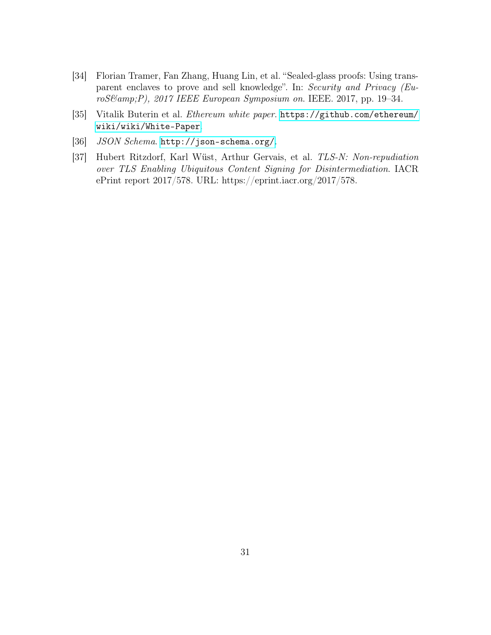- <span id="page-30-3"></span>[34] Florian Tramer, Fan Zhang, Huang Lin, et al. "Sealed-glass proofs: Using transparent enclaves to prove and sell knowledge". In: Security and Privacy (EuroS&P), 2017 IEEE European Symposium on. IEEE. 2017, pp. 19-34.
- <span id="page-30-0"></span>[35] Vitalik Buterin et al. Ethereum white paper. [https://github.com/ethereum/](https://github.com/ethereum/wiki/wiki/White-Paper) [wiki/wiki/White-Paper](https://github.com/ethereum/wiki/wiki/White-Paper).
- <span id="page-30-1"></span>[36] JSON Schema. <http://json-schema.org/>.
- <span id="page-30-2"></span>[37] Hubert Ritzdorf, Karl Wüst, Arthur Gervais, et al. TLS-N: Non-repudiation over TLS Enabling Ubiquitous Content Signing for Disintermediation. IACR ePrint report 2017/578. URL: https://eprint.iacr.org/2017/578.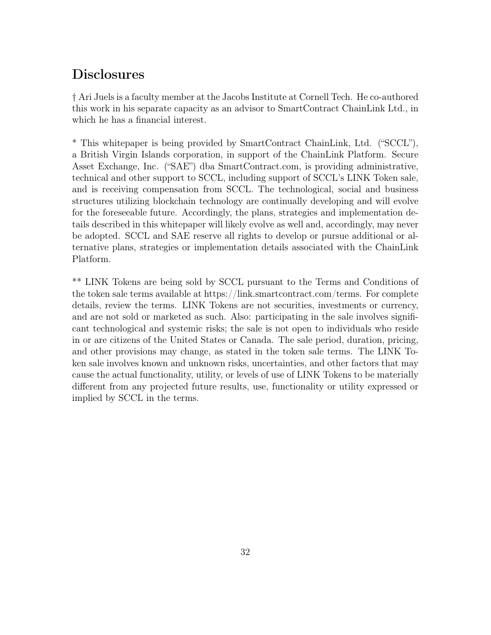## **Disclosures**

† Ari Juels is a faculty member at the Jacobs Institute at Cornell Tech. He co-authored this work in his separate capacity as an advisor to SmartContract ChainLink Ltd., in which he has a financial interest.

\* This whitepaper is being provided by SmartContract ChainLink, Ltd. ("SCCL"), a British Virgin Islands corporation, in support of the ChainLink Platform. Secure Asset Exchange, Inc. ("SAE") dba SmartContract.com, is providing administrative, technical and other support to SCCL, including support of SCCL's LINK Token sale, and is receiving compensation from SCCL. The technological, social and business structures utilizing blockchain technology are continually developing and will evolve for the foreseeable future. Accordingly, the plans, strategies and implementation details described in this whitepaper will likely evolve as well and, accordingly, may never be adopted. SCCL and SAE reserve all rights to develop or pursue additional or alternative plans, strategies or implementation details associated with the ChainLink Platform.

\*\* LINK Tokens are being sold by SCCL pursuant to the Terms and Conditions of the token sale terms available at https://link.smartcontract.com/terms. For complete details, review the terms. LINK Tokens are not securities, investments or currency, and are not sold or marketed as such. Also: participating in the sale involves significant technological and systemic risks; the sale is not open to individuals who reside in or are citizens of the United States or Canada. The sale period, duration, pricing, and other provisions may change, as stated in the token sale terms. The LINK Token sale involves known and unknown risks, uncertainties, and other factors that may cause the actual functionality, utility, or levels of use of LINK Tokens to be materially different from any projected future results, use, functionality or utility expressed or implied by SCCL in the terms.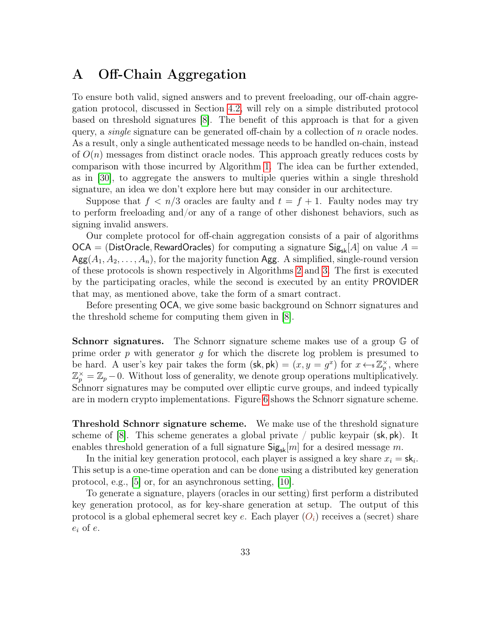### <span id="page-32-0"></span>A Off-Chain Aggregation

To ensure both valid, signed answers and to prevent freeloading, our off-chain aggregation protocol, discussed in Section [4.2,](#page-13-1) will rely on a simple distributed protocol based on threshold signatures [\[8\]](#page-27-7). The benefit of this approach is that for a given query, a *single* signature can be generated off-chain by a collection of  $n$  oracle nodes. As a result, only a single authenticated message needs to be handled on-chain, instead of  $O(n)$  messages from distinct oracle nodes. This approach greatly reduces costs by comparison with those incurred by Algorithm [1.](#page-13-0) The idea can be further extended, as in [\[30\]](#page-29-13), to aggregate the answers to multiple queries within a single threshold signature, an idea we don't explore here but may consider in our architecture.

Suppose that  $f < n/3$  oracles are faulty and  $t = f + 1$ . Faulty nodes may try to perform freeloading and/or any of a range of other dishonest behaviors, such as signing invalid answers.

Our complete protocol for off-chain aggregation consists of a pair of algorithms  $OCA = (DistOracle, RewardOracles)$  for computing a signature  $Sig_{sk}[A]$  on value  $A =$  $\text{Agg}(A_1, A_2, \ldots, A_n)$ , for the majority function Agg. A simplified, single-round version of these protocols is shown respectively in Algorithms [2](#page-34-0) and [3.](#page-35-1) The first is executed by the participating oracles, while the second is executed by an entity PROVIDER that may, as mentioned above, take the form of a smart contract.

Before presenting OCA, we give some basic background on Schnorr signatures and the threshold scheme for computing them given in [\[8\]](#page-27-7).

Schnorr signatures. The Schnorr signature scheme makes use of a group G of prime order  $p$  with generator  $q$  for which the discrete log problem is presumed to be hard. A user's key pair takes the form  $(\mathsf{sk}, \mathsf{pk}) = (x, y = g^x)$  for  $x \leftarrow \mathbb{Z}_p^\times$ , where  $\mathbb{Z}_p^{\times} = \mathbb{Z}_p - 0$ . Without loss of generality, we denote group operations multiplicatively. Schnorr signatures may be computed over elliptic curve groups, and indeed typically are in modern crypto implementations. Figure [6](#page-33-1) shows the Schnorr signature scheme.

Threshold Schnorr signature scheme. We make use of the threshold signature scheme of [\[8\]](#page-27-7). This scheme generates a global private / public keypair  $(\mathsf{sk}, \mathsf{pk})$ . It enables threshold generation of a full signature  $\text{Sig}_{\text{sk}}[m]$  for a desired message m.

In the initial key generation protocol, each player is assigned a key share  $x_i = sk_i$ . This setup is a one-time operation and can be done using a distributed key generation protocol, e.g., [\[5\]](#page-27-8) or, for an asynchronous setting, [\[10\]](#page-28-6).

To generate a signature, players (oracles in our setting) first perform a distributed key generation protocol, as for key-share generation at setup. The output of this protocol is a global ephemeral secret key e. Each player  $(O_i)$  receives a (secret) share  $e_i$  of  $e$ .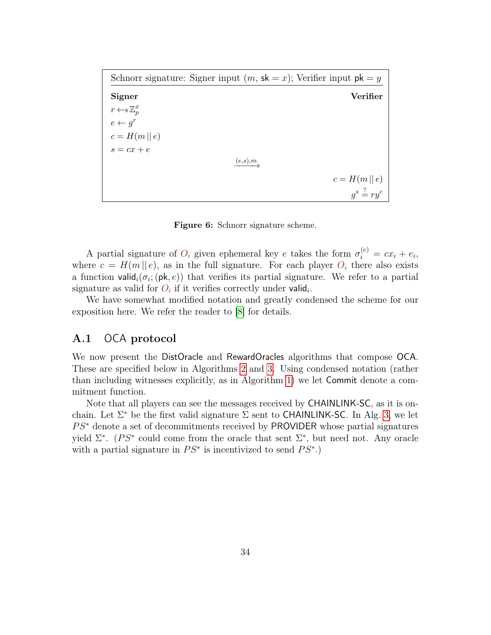<span id="page-33-1"></span>

| Schnorr signature: Signer input $(m, sk = x)$ ; Verifier input $pk = y$ |         |  |  |                            |
|-------------------------------------------------------------------------|---------|--|--|----------------------------|
| <b>Signer</b>                                                           |         |  |  | <b>Verifier</b>            |
| $r \leftarrow \mathbb{Z}_p^x$                                           |         |  |  |                            |
| $e \leftarrow q^r$                                                      |         |  |  |                            |
| $c=H(m  e)$                                                             |         |  |  |                            |
| $s = cx + e$                                                            |         |  |  |                            |
|                                                                         | (e,s),m |  |  |                            |
|                                                                         |         |  |  | $c=H(m  e)$                |
|                                                                         |         |  |  | $q^s \stackrel{?}{=} ry^c$ |

Figure 6: Schnorr signature scheme.

A partial signature of  $O_i$  given ephemeral key e takes the form  $\sigma_i^{(e)} = cx_i + e_i$ , where  $c = H(m || e)$ , as in the full signature. For each player  $O_i$  there also exists a function valid<sub>i</sub>( $\sigma_i$ ; (pk, e)) that verifies its partial signature. We refer to a partial signature as valid for  $O_i$  if it verifies correctly under valid<sub>i</sub>.

We have somewhat modified notation and greatly condensed the scheme for our exposition here. We refer the reader to [\[8\]](#page-27-7) for details.

#### <span id="page-33-0"></span>A.1 OCA protocol

We now present the DistOracle and RewardOracles algorithms that compose OCA. These are specified below in Algorithms [2](#page-34-0) and [3.](#page-35-1) Using condensed notation (rather than including witnesses explicitly, as in Algorithm [1\)](#page-13-0) we let Commit denote a commitment function.

Note that all players can see the messages received by CHAINLINK-SC, as it is onchain. Let  $\Sigma^*$  be the first valid signature  $\Sigma$  sent to **CHAINLINK-SC**. In Alg. [3,](#page-35-1) we let  $PS^*$  denote a set of decommitments received by PROVIDER whose partial signatures yield  $\Sigma^*$ . (PS<sup>\*</sup> could come from the oracle that sent  $\Sigma^*$ , but need not. Any oracle with a partial signature in  $PS^*$  is incentivized to send  $PS^*$ .)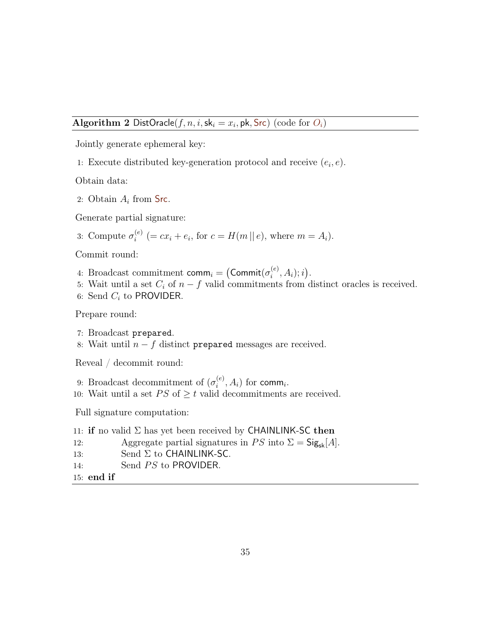#### <span id="page-34-0"></span>Algorithm 2 DistOracle $(f, n, i, sk_i = x_i, pk, src)$  (code for  $O_i$ )

Jointly generate ephemeral key:

1: Execute distributed key-generation protocol and receive  $(e_i, e)$ .

Obtain data:

2: Obtain  $A_i$  from Src.

Generate partial signature:

 $\mathcal{L}$ 

3: Compute 
$$
\sigma_i^{(e)}
$$
 (=  $cx_i + e_i$ , for  $c = H(m || e)$ , where  $m = A_i$ ).

Commit round:

- 4: Broadcast commitment  $\mathsf{comm}_i = \big(\mathsf{Commit}(\sigma_i^{(e)})$  $i^{(e)}, A_i$ ; *i*).
- 5: Wait until a set  $C_i$  of  $n f$  valid commitments from distinct oracles is received.
- 6: Send  $C_i$  to PROVIDER.

Prepare round:

- 7: Broadcast prepared.
- 8: Wait until  $n f$  distinct prepared messages are received.

Reveal / decommit round:

- 9: Broadcast decommitment of  $(\sigma_i^{(e)})$  $i^{(e)}, A_i)$  for comm<sub>i</sub>.
- 10: Wait until a set  $PS$  of  $\geq t$  valid decommitments are received.

Full signature computation:

11: if no valid  $\Sigma$  has yet been received by CHAINLINK-SC then 12: Aggregate partial signatures in PS into  $\Sigma = \mathsf{Sig}_{\sf sk}[A]$ . 13: Send  $\Sigma$  to CHAINLINK-SC. 14: Send *PS* to PROVIDER. 15: end if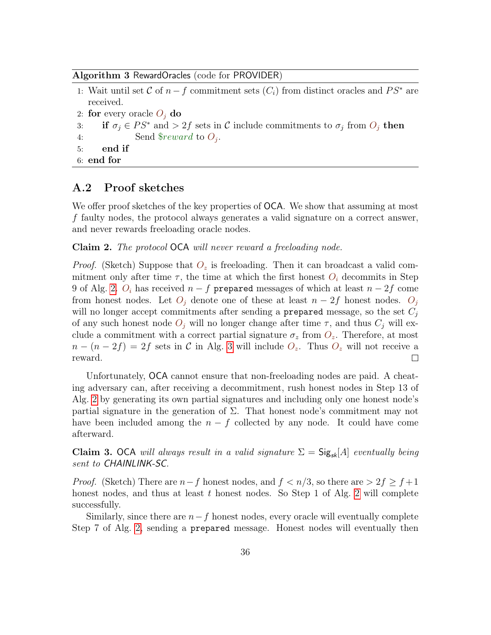#### <span id="page-35-1"></span>Algorithm 3 RewardOracles (code for PROVIDER)

| 1: Wait until set C of $n-f$ commitment sets $(C_i)$ from distinct oracles and $PS^*$ are |  |  |  |  |  |
|-------------------------------------------------------------------------------------------|--|--|--|--|--|
| received.                                                                                 |  |  |  |  |  |
| 2: for every oracle $O_i$ do                                                              |  |  |  |  |  |
|                                                                                           |  |  |  |  |  |

3: if  $\sigma_j \in PS^*$  and  $> 2f$  sets in C include commitments to  $\sigma_j$  from  $O_j$  then 4: Send  $$reward$  to  $O_j$ .

5: end if

```
6: end for
```
#### <span id="page-35-0"></span>A.2 Proof sketches

We offer proof sketches of the key properties of **OCA**. We show that assuming at most f faulty nodes, the protocol always generates a valid signature on a correct answer, and never rewards freeloading oracle nodes.

Claim 2. The protocol OCA will never reward a freeloading node.

*Proof.* (Sketch) Suppose that  $O_z$  is freeloading. Then it can broadcast a valid commitment only after time  $\tau$ , the time at which the first honest  $O_i$  decommits in Step 9 of Alg. [2.](#page-34-0)  $O_i$  has received  $n - f$  prepared messages of which at least  $n - 2f$  come from honest nodes. Let  $O_i$  denote one of these at least  $n-2f$  honest nodes.  $O_i$ will no longer accept commitments after sending a prepared message, so the set  $C_j$ of any such honest node  $O_j$  will no longer change after time  $\tau$ , and thus  $C_j$  will exclude a commitment with a correct partial signature  $\sigma_z$  from  $O_z$ . Therefore, at most  $n - (n - 2f) = 2f$  sets in C in Alg. [3](#page-35-1) will include  $O_z$ . Thus  $O_z$  will not receive a reward.  $\Box$ 

Unfortunately, OCA cannot ensure that non-freeloading nodes are paid. A cheating adversary can, after receiving a decommitment, rush honest nodes in Step 13 of Alg. [2](#page-34-0) by generating its own partial signatures and including only one honest node's partial signature in the generation of  $\Sigma$ . That honest node's commitment may not have been included among the  $n - f$  collected by any node. It could have come afterward.

Claim 3. OCA will always result in a valid signature  $\Sigma = \mathsf{Sig}_{sk}[A]$  eventually being sent to **CHAINLINK-SC**.

*Proof.* (Sketch) There are  $n-f$  honest nodes, and  $f < n/3$ , so there are  $> 2f \ge f+1$ honest nodes, and thus at least  $t$  honest nodes. So Step 1 of Alg. [2](#page-34-0) will complete successfully.

Similarly, since there are  $n-f$  honest nodes, every oracle will eventually complete Step 7 of Alg. [2,](#page-34-0) sending a prepared message. Honest nodes will eventually then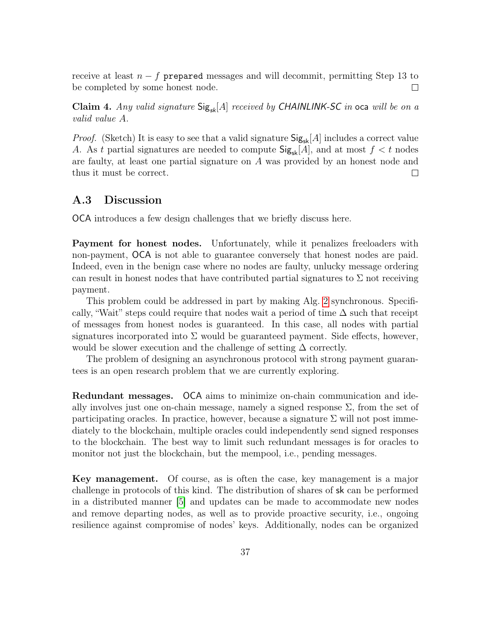receive at least  $n - f$  prepared messages and will decommit, permitting Step 13 to be completed by some honest node.  $\Box$ 

Claim 4. Any valid signature  $\text{Sig}_{sk}[A]$  received by CHAINLINK-SC in oca will be on a valid value A.

*Proof.* (Sketch) It is easy to see that a valid signature  $\text{Sig}_{sk}[A]$  includes a correct value A. As t partial signatures are needed to compute  $\text{Sig}_{sk}[A]$ , and at most  $f < t$  nodes are faulty, at least one partial signature on A was provided by an honest node and thus it must be correct.  $\Box$ 

#### <span id="page-36-0"></span>A.3 Discussion

OCA introduces a few design challenges that we briefly discuss here.

Payment for honest nodes. Unfortunately, while it penalizes freeloaders with non-payment, OCA is not able to guarantee conversely that honest nodes are paid. Indeed, even in the benign case where no nodes are faulty, unlucky message ordering can result in honest nodes that have contributed partial signatures to  $\Sigma$  not receiving payment.

This problem could be addressed in part by making Alg. [2](#page-34-0) synchronous. Specifically, "Wait" steps could require that nodes wait a period of time  $\Delta$  such that receipt of messages from honest nodes is guaranteed. In this case, all nodes with partial signatures incorporated into  $\Sigma$  would be guaranteed payment. Side effects, however, would be slower execution and the challenge of setting  $\Delta$  correctly.

The problem of designing an asynchronous protocol with strong payment guarantees is an open research problem that we are currently exploring.

Redundant messages. OCA aims to minimize on-chain communication and ideally involves just one on-chain message, namely a signed response  $\Sigma$ , from the set of participating oracles. In practice, however, because a signature  $\Sigma$  will not post immediately to the blockchain, multiple oracles could independently send signed responses to the blockchain. The best way to limit such redundant messages is for oracles to monitor not just the blockchain, but the mempool, i.e., pending messages.

Key management. Of course, as is often the case, key management is a major challenge in protocols of this kind. The distribution of shares of sk can be performed in a distributed manner [\[5\]](#page-27-8) and updates can be made to accommodate new nodes and remove departing nodes, as well as to provide proactive security, i.e., ongoing resilience against compromise of nodes' keys. Additionally, nodes can be organized